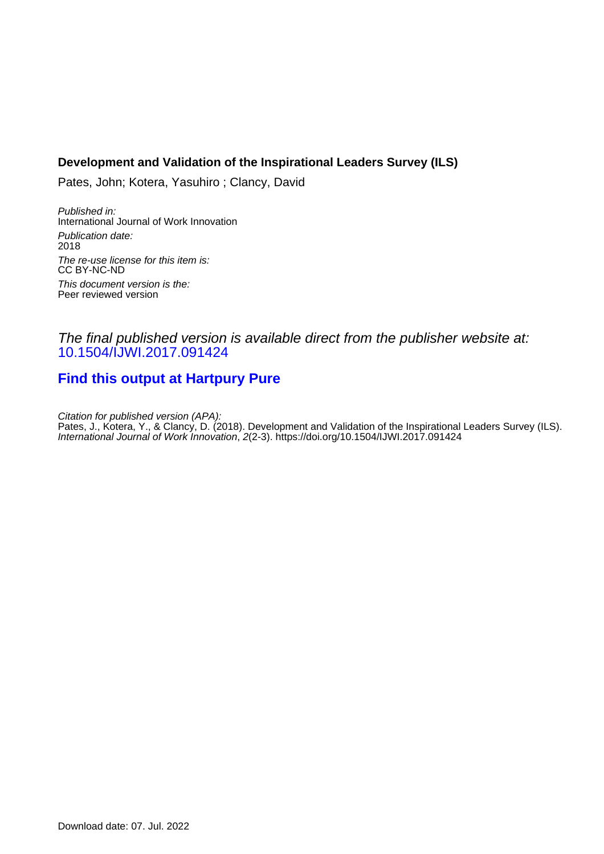#### **Development and Validation of the Inspirational Leaders Survey (ILS)**

Pates, John; Kotera, Yasuhiro ; Clancy, David

Published in: International Journal of Work Innovation Publication date: 2018 The re-use license for this item is: CC BY-NC-ND This document version is the: Peer reviewed version

### The final published version is available direct from the publisher website at: [10.1504/IJWI.2017.091424](https://doi.org/10.1504/IJWI.2017.091424)

## **[Find this output at Hartpury Pure](https://hartpury.pure.elsevier.com/en/publications/bd7d223f-d128-4435-8972-d6df7e383ac9)**

Citation for published version (APA): Pates, J., Kotera, Y., & Clancy, D. (2018). Development and Validation of the Inspirational Leaders Survey (ILS). International Journal of Work Innovation, 2(2-3). <https://doi.org/10.1504/IJWI.2017.091424>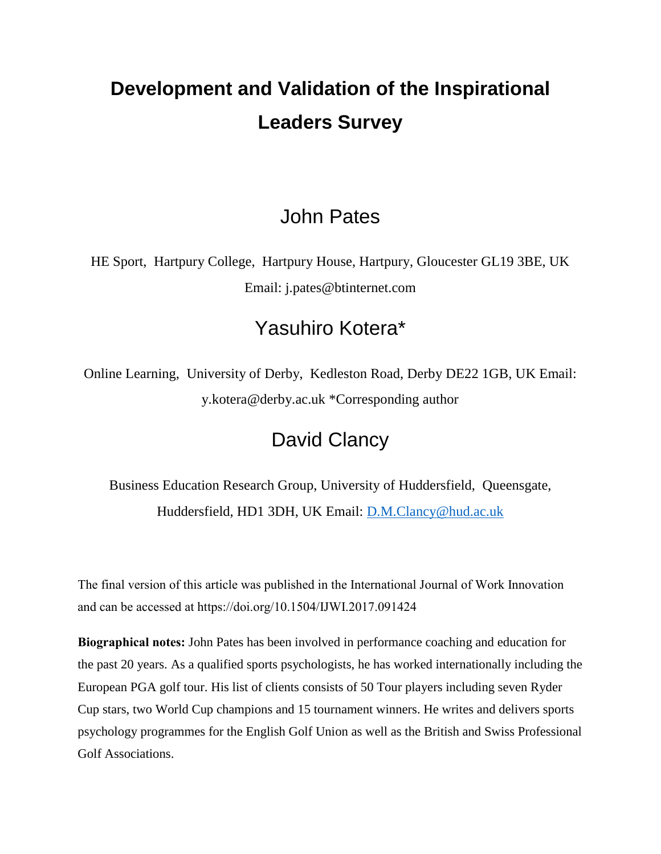# **Development and Validation of the Inspirational Leaders Survey**

## John Pates

HE Sport, Hartpury College, Hartpury House, Hartpury, Gloucester GL19 3BE, UK Email: j.pates@btinternet.com

## Yasuhiro Kotera\*

Online Learning, University of Derby, Kedleston Road, Derby DE22 1GB, UK Email: y.kotera@derby.ac.uk \*Corresponding author

## David Clancy

Business Education Research Group, University of Huddersfield, Queensgate, Huddersfield, HD1 3DH, UK Email: [D.M.Clancy@hud.ac.uk](mailto:D.M.Clancy@hud.ac.uk)

The final version of this article was published in the International Journal of Work Innovation and can be accessed at https://doi.org/10.1504/IJWI.2017.091424

**Biographical notes:** John Pates has been involved in performance coaching and education for the past 20 years. As a qualified sports psychologists, he has worked internationally including the European PGA golf tour. His list of clients consists of 50 Tour players including seven Ryder Cup stars, two World Cup champions and 15 tournament winners. He writes and delivers sports psychology programmes for the English Golf Union as well as the British and Swiss Professional Golf Associations.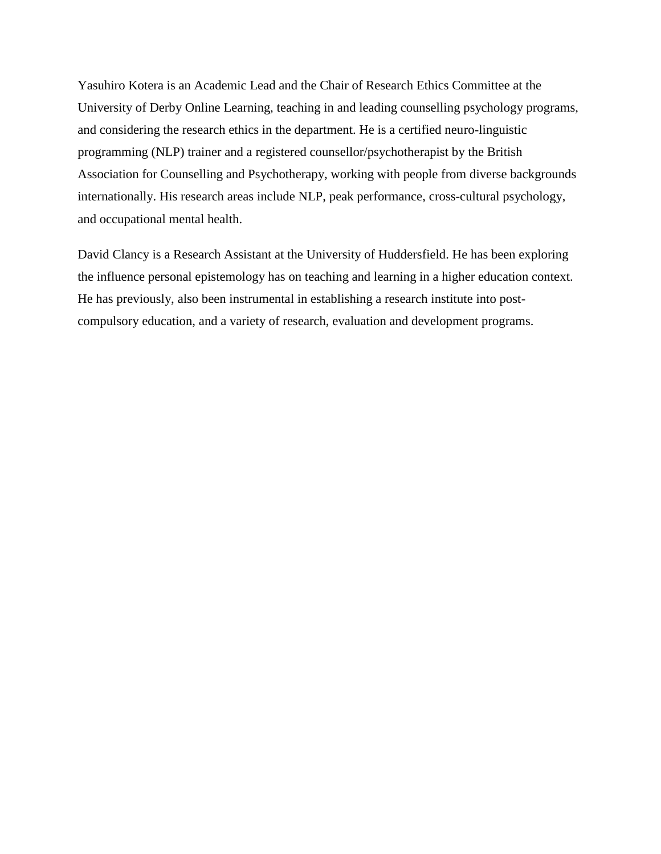Yasuhiro Kotera is an Academic Lead and the Chair of Research Ethics Committee at the University of Derby Online Learning, teaching in and leading counselling psychology programs, and considering the research ethics in the department. He is a certified neuro-linguistic programming (NLP) trainer and a registered counsellor/psychotherapist by the British Association for Counselling and Psychotherapy, working with people from diverse backgrounds internationally. His research areas include NLP, peak performance, cross-cultural psychology, and occupational mental health.

David Clancy is a Research Assistant at the University of Huddersfield. He has been exploring the influence personal epistemology has on teaching and learning in a higher education context. He has previously, also been instrumental in establishing a research institute into postcompulsory education, and a variety of research, evaluation and development programs.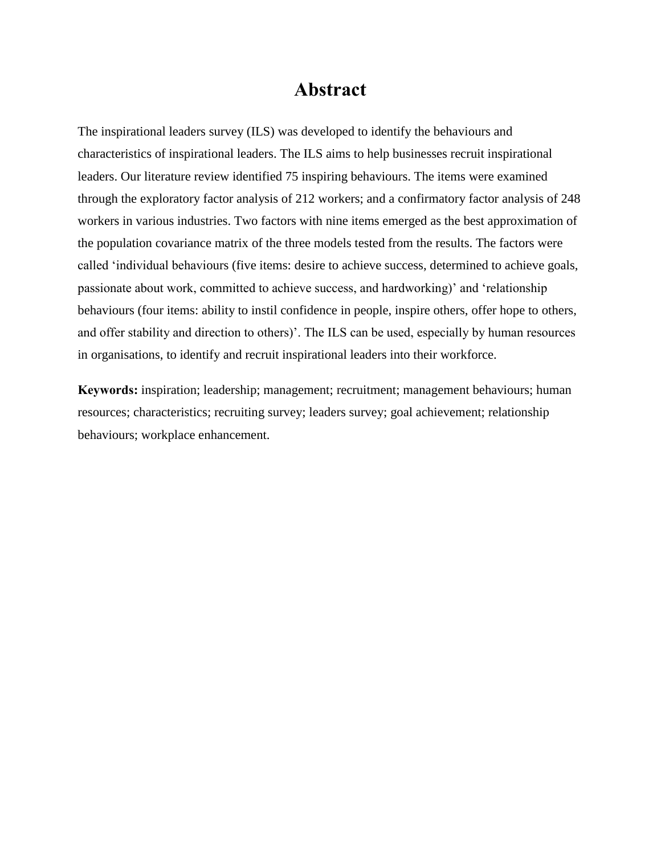## **Abstract**

The inspirational leaders survey (ILS) was developed to identify the behaviours and characteristics of inspirational leaders. The ILS aims to help businesses recruit inspirational leaders. Our literature review identified 75 inspiring behaviours. The items were examined through the exploratory factor analysis of 212 workers; and a confirmatory factor analysis of 248 workers in various industries. Two factors with nine items emerged as the best approximation of the population covariance matrix of the three models tested from the results. The factors were called 'individual behaviours (five items: desire to achieve success, determined to achieve goals, passionate about work, committed to achieve success, and hardworking)' and 'relationship behaviours (four items: ability to instil confidence in people, inspire others, offer hope to others, and offer stability and direction to others)'. The ILS can be used, especially by human resources in organisations, to identify and recruit inspirational leaders into their workforce.

**Keywords:** inspiration; leadership; management; recruitment; management behaviours; human resources; characteristics; recruiting survey; leaders survey; goal achievement; relationship behaviours; workplace enhancement.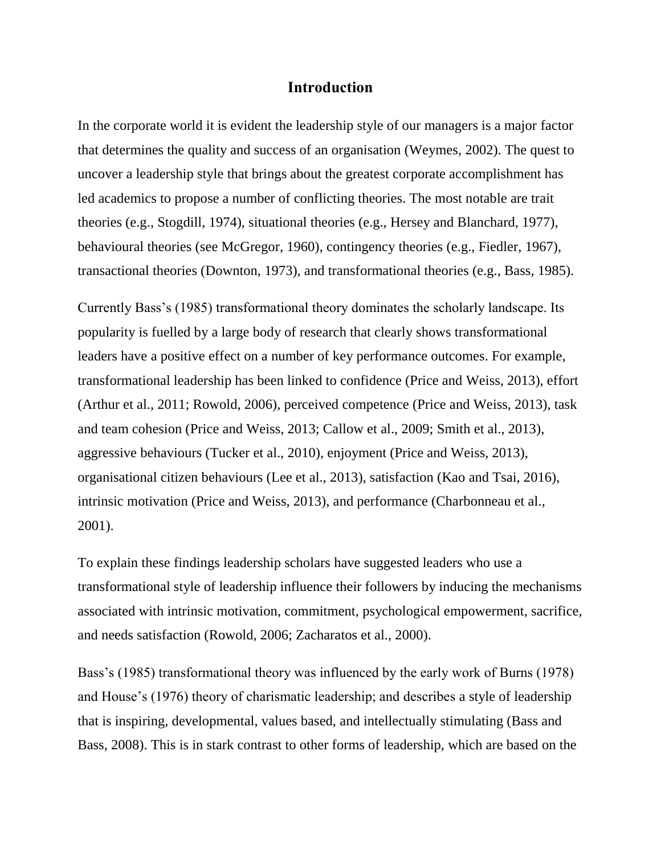#### **Introduction**

In the corporate world it is evident the leadership style of our managers is a major factor that determines the quality and success of an organisation (Weymes, 2002). The quest to uncover a leadership style that brings about the greatest corporate accomplishment has led academics to propose a number of conflicting theories. The most notable are trait theories (e.g., Stogdill, 1974), situational theories (e.g., Hersey and Blanchard, 1977), behavioural theories (see McGregor, 1960), contingency theories (e.g., Fiedler, 1967), transactional theories (Downton, 1973), and transformational theories (e.g., Bass, 1985).

Currently Bass's (1985) transformational theory dominates the scholarly landscape. Its popularity is fuelled by a large body of research that clearly shows transformational leaders have a positive effect on a number of key performance outcomes. For example, transformational leadership has been linked to confidence (Price and Weiss, 2013), effort (Arthur et al., 2011; Rowold, 2006), perceived competence (Price and Weiss, 2013), task and team cohesion (Price and Weiss, 2013; Callow et al., 2009; Smith et al., 2013), aggressive behaviours (Tucker et al., 2010), enjoyment (Price and Weiss, 2013), organisational citizen behaviours (Lee et al., 2013), satisfaction (Kao and Tsai, 2016), intrinsic motivation (Price and Weiss, 2013), and performance (Charbonneau et al., 2001).

To explain these findings leadership scholars have suggested leaders who use a transformational style of leadership influence their followers by inducing the mechanisms associated with intrinsic motivation, commitment, psychological empowerment, sacrifice, and needs satisfaction (Rowold, 2006; Zacharatos et al., 2000).

Bass's (1985) transformational theory was influenced by the early work of Burns (1978) and House's (1976) theory of charismatic leadership; and describes a style of leadership that is inspiring, developmental, values based, and intellectually stimulating (Bass and Bass, 2008). This is in stark contrast to other forms of leadership, which are based on the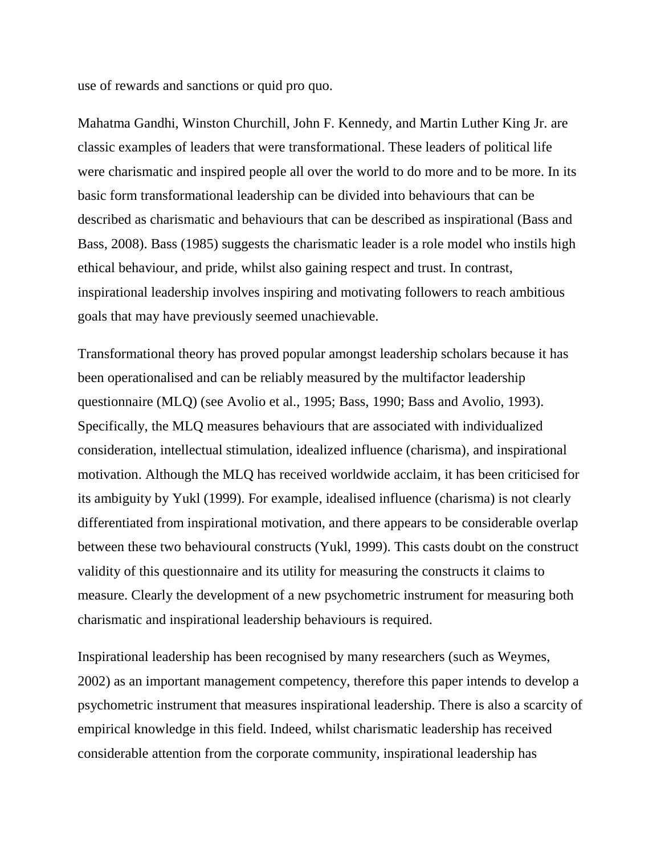use of rewards and sanctions or quid pro quo.

Mahatma Gandhi, Winston Churchill, John F. Kennedy, and Martin Luther King Jr. are classic examples of leaders that were transformational. These leaders of political life were charismatic and inspired people all over the world to do more and to be more. In its basic form transformational leadership can be divided into behaviours that can be described as charismatic and behaviours that can be described as inspirational (Bass and Bass, 2008). Bass (1985) suggests the charismatic leader is a role model who instils high ethical behaviour, and pride, whilst also gaining respect and trust. In contrast, inspirational leadership involves inspiring and motivating followers to reach ambitious goals that may have previously seemed unachievable.

Transformational theory has proved popular amongst leadership scholars because it has been operationalised and can be reliably measured by the multifactor leadership questionnaire (MLQ) (see Avolio et al., 1995; Bass, 1990; Bass and Avolio, 1993). Specifically, the MLQ measures behaviours that are associated with individualized consideration, intellectual stimulation, idealized influence (charisma), and inspirational motivation. Although the MLQ has received worldwide acclaim, it has been criticised for its ambiguity by Yukl (1999). For example, idealised influence (charisma) is not clearly differentiated from inspirational motivation, and there appears to be considerable overlap between these two behavioural constructs (Yukl, 1999). This casts doubt on the construct validity of this questionnaire and its utility for measuring the constructs it claims to measure. Clearly the development of a new psychometric instrument for measuring both charismatic and inspirational leadership behaviours is required.

Inspirational leadership has been recognised by many researchers (such as Weymes, 2002) as an important management competency, therefore this paper intends to develop a psychometric instrument that measures inspirational leadership. There is also a scarcity of empirical knowledge in this field. Indeed, whilst charismatic leadership has received considerable attention from the corporate community, inspirational leadership has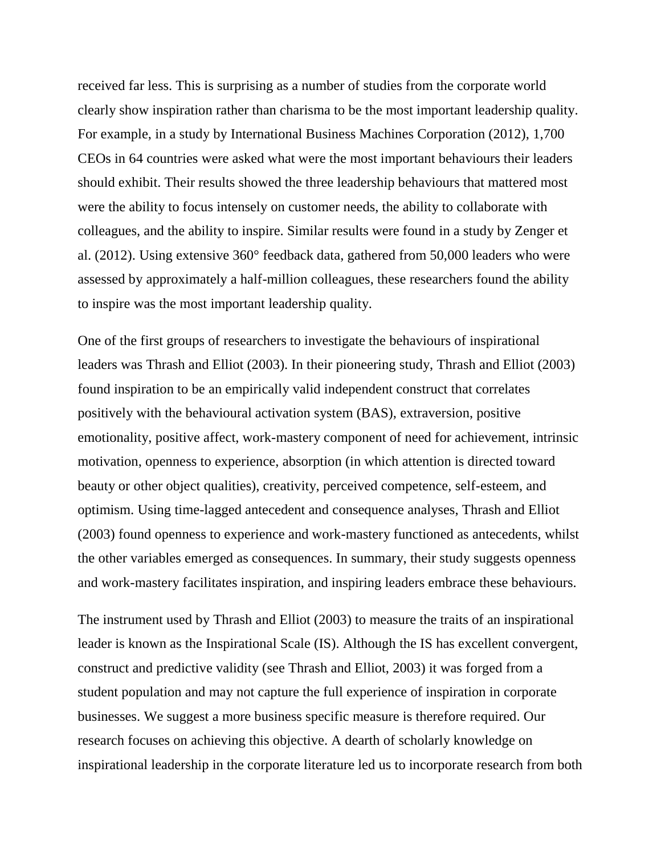received far less. This is surprising as a number of studies from the corporate world clearly show inspiration rather than charisma to be the most important leadership quality. For example, in a study by International Business Machines Corporation (2012), 1,700 CEOs in 64 countries were asked what were the most important behaviours their leaders should exhibit. Their results showed the three leadership behaviours that mattered most were the ability to focus intensely on customer needs, the ability to collaborate with colleagues, and the ability to inspire. Similar results were found in a study by Zenger et al. (2012). Using extensive 360° feedback data, gathered from 50,000 leaders who were assessed by approximately a half-million colleagues, these researchers found the ability to inspire was the most important leadership quality.

One of the first groups of researchers to investigate the behaviours of inspirational leaders was Thrash and Elliot (2003). In their pioneering study, Thrash and Elliot (2003) found inspiration to be an empirically valid independent construct that correlates positively with the behavioural activation system (BAS), extraversion, positive emotionality, positive affect, work-mastery component of need for achievement, intrinsic motivation, openness to experience, absorption (in which attention is directed toward beauty or other object qualities), creativity, perceived competence, self-esteem, and optimism. Using time-lagged antecedent and consequence analyses, Thrash and Elliot (2003) found openness to experience and work-mastery functioned as antecedents, whilst the other variables emerged as consequences. In summary, their study suggests openness and work-mastery facilitates inspiration, and inspiring leaders embrace these behaviours.

The instrument used by Thrash and Elliot (2003) to measure the traits of an inspirational leader is known as the Inspirational Scale (IS). Although the IS has excellent convergent, construct and predictive validity (see Thrash and Elliot, 2003) it was forged from a student population and may not capture the full experience of inspiration in corporate businesses. We suggest a more business specific measure is therefore required. Our research focuses on achieving this objective. A dearth of scholarly knowledge on inspirational leadership in the corporate literature led us to incorporate research from both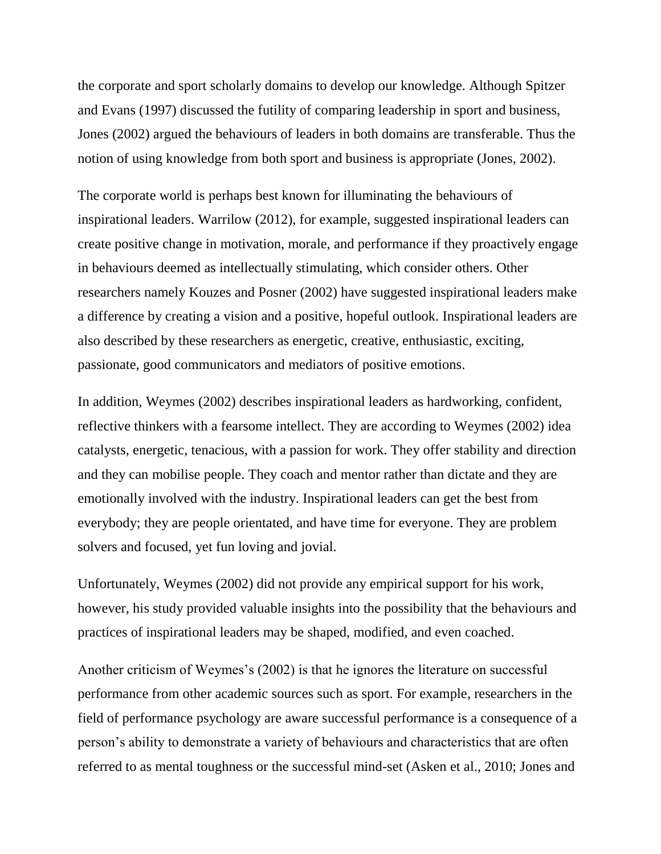the corporate and sport scholarly domains to develop our knowledge. Although Spitzer and Evans (1997) discussed the futility of comparing leadership in sport and business, Jones (2002) argued the behaviours of leaders in both domains are transferable. Thus the notion of using knowledge from both sport and business is appropriate (Jones, 2002).

The corporate world is perhaps best known for illuminating the behaviours of inspirational leaders. Warrilow (2012), for example, suggested inspirational leaders can create positive change in motivation, morale, and performance if they proactively engage in behaviours deemed as intellectually stimulating, which consider others. Other researchers namely Kouzes and Posner (2002) have suggested inspirational leaders make a difference by creating a vision and a positive, hopeful outlook. Inspirational leaders are also described by these researchers as energetic, creative, enthusiastic, exciting, passionate, good communicators and mediators of positive emotions.

In addition, Weymes (2002) describes inspirational leaders as hardworking, confident, reflective thinkers with a fearsome intellect. They are according to Weymes (2002) idea catalysts, energetic, tenacious, with a passion for work. They offer stability and direction and they can mobilise people. They coach and mentor rather than dictate and they are emotionally involved with the industry. Inspirational leaders can get the best from everybody; they are people orientated, and have time for everyone. They are problem solvers and focused, yet fun loving and jovial.

Unfortunately, Weymes (2002) did not provide any empirical support for his work, however, his study provided valuable insights into the possibility that the behaviours and practices of inspirational leaders may be shaped, modified, and even coached.

Another criticism of Weymes's (2002) is that he ignores the literature on successful performance from other academic sources such as sport. For example, researchers in the field of performance psychology are aware successful performance is a consequence of a person's ability to demonstrate a variety of behaviours and characteristics that are often referred to as mental toughness or the successful mind-set (Asken et al., 2010; Jones and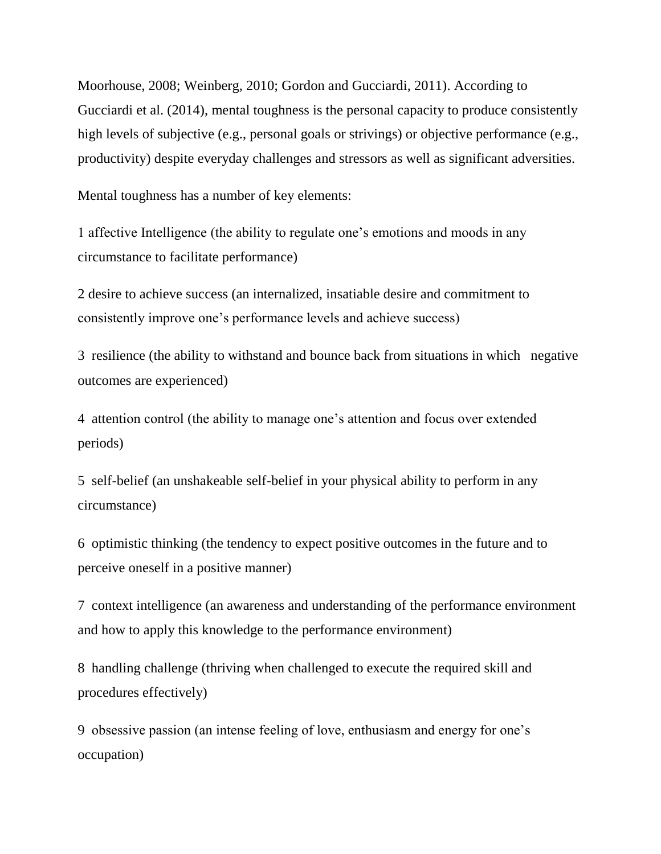Moorhouse, 2008; Weinberg, 2010; Gordon and Gucciardi, 2011). According to Gucciardi et al. (2014), mental toughness is the personal capacity to produce consistently high levels of subjective (e.g., personal goals or strivings) or objective performance (e.g., productivity) despite everyday challenges and stressors as well as significant adversities.

Mental toughness has a number of key elements:

1 affective Intelligence (the ability to regulate one's emotions and moods in any circumstance to facilitate performance)

2 desire to achieve success (an internalized, insatiable desire and commitment to consistently improve one's performance levels and achieve success)

3 resilience (the ability to withstand and bounce back from situations in which negative outcomes are experienced)

4 attention control (the ability to manage one's attention and focus over extended periods)

5 self-belief (an unshakeable self-belief in your physical ability to perform in any circumstance)

6 optimistic thinking (the tendency to expect positive outcomes in the future and to perceive oneself in a positive manner)

7 context intelligence (an awareness and understanding of the performance environment and how to apply this knowledge to the performance environment)

8 handling challenge (thriving when challenged to execute the required skill and procedures effectively)

9 obsessive passion (an intense feeling of love, enthusiasm and energy for one's occupation)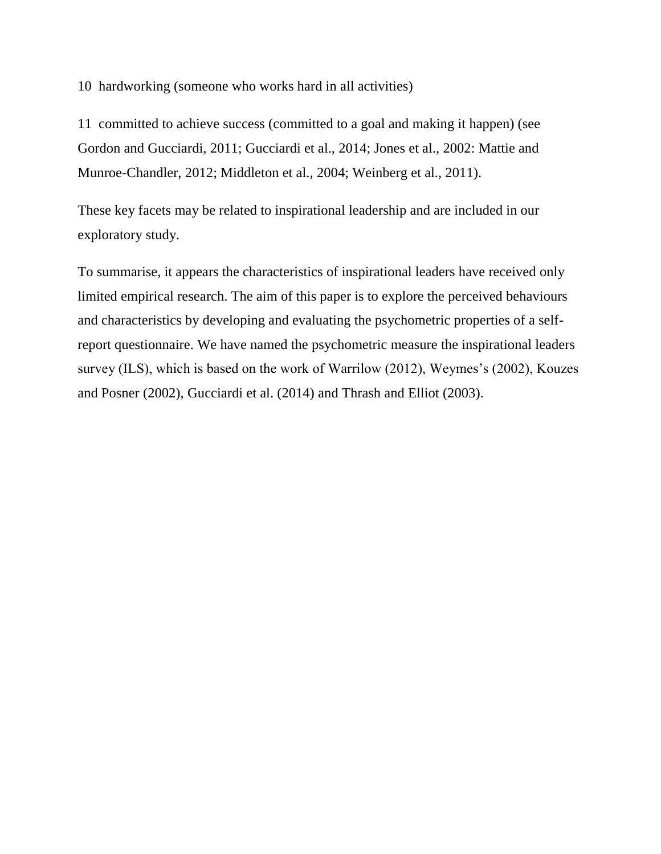10 hardworking (someone who works hard in all activities)

11 committed to achieve success (committed to a goal and making it happen) (see Gordon and Gucciardi, 2011; Gucciardi et al., 2014; Jones et al., 2002: Mattie and Munroe-Chandler, 2012; Middleton et al., 2004; Weinberg et al., 2011).

These key facets may be related to inspirational leadership and are included in our exploratory study.

To summarise, it appears the characteristics of inspirational leaders have received only limited empirical research. The aim of this paper is to explore the perceived behaviours and characteristics by developing and evaluating the psychometric properties of a selfreport questionnaire. We have named the psychometric measure the inspirational leaders survey (ILS), which is based on the work of Warrilow (2012), Weymes's (2002), Kouzes and Posner (2002), Gucciardi et al. (2014) and Thrash and Elliot (2003).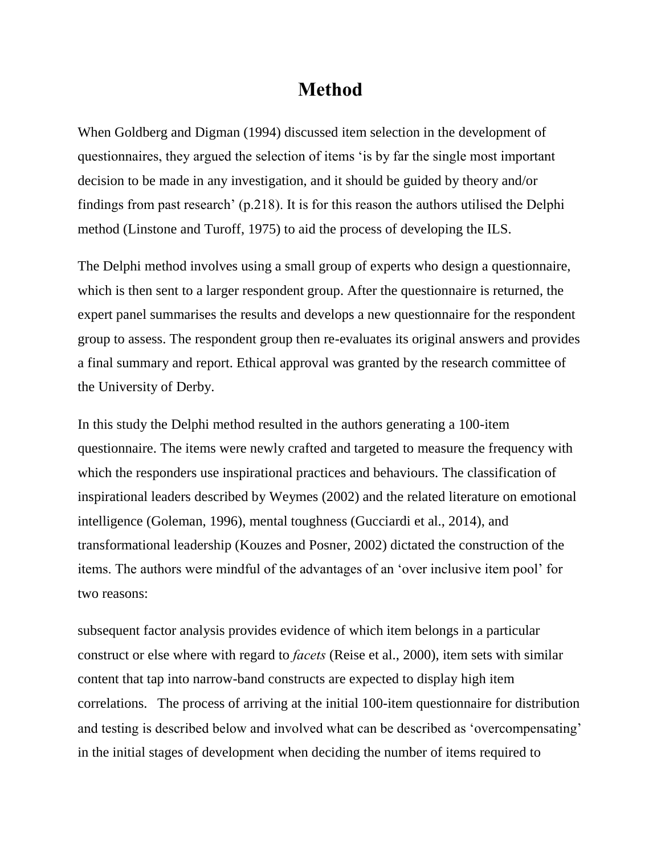## **Method**

When Goldberg and Digman (1994) discussed item selection in the development of questionnaires, they argued the selection of items 'is by far the single most important decision to be made in any investigation, and it should be guided by theory and/or findings from past research' (p.218). It is for this reason the authors utilised the Delphi method (Linstone and Turoff, 1975) to aid the process of developing the ILS.

The Delphi method involves using a small group of experts who design a questionnaire, which is then sent to a larger respondent group. After the questionnaire is returned, the expert panel summarises the results and develops a new questionnaire for the respondent group to assess. The respondent group then re-evaluates its original answers and provides a final summary and report. Ethical approval was granted by the research committee of the University of Derby.

In this study the Delphi method resulted in the authors generating a 100-item questionnaire. The items were newly crafted and targeted to measure the frequency with which the responders use inspirational practices and behaviours. The classification of inspirational leaders described by Weymes (2002) and the related literature on emotional intelligence (Goleman, 1996), mental toughness (Gucciardi et al., 2014), and transformational leadership (Kouzes and Posner, 2002) dictated the construction of the items. The authors were mindful of the advantages of an 'over inclusive item pool' for two reasons:

subsequent factor analysis provides evidence of which item belongs in a particular construct or else where with regard to *facets* (Reise et al., 2000), item sets with similar content that tap into narrow-band constructs are expected to display high item correlations. The process of arriving at the initial 100-item questionnaire for distribution and testing is described below and involved what can be described as 'overcompensating' in the initial stages of development when deciding the number of items required to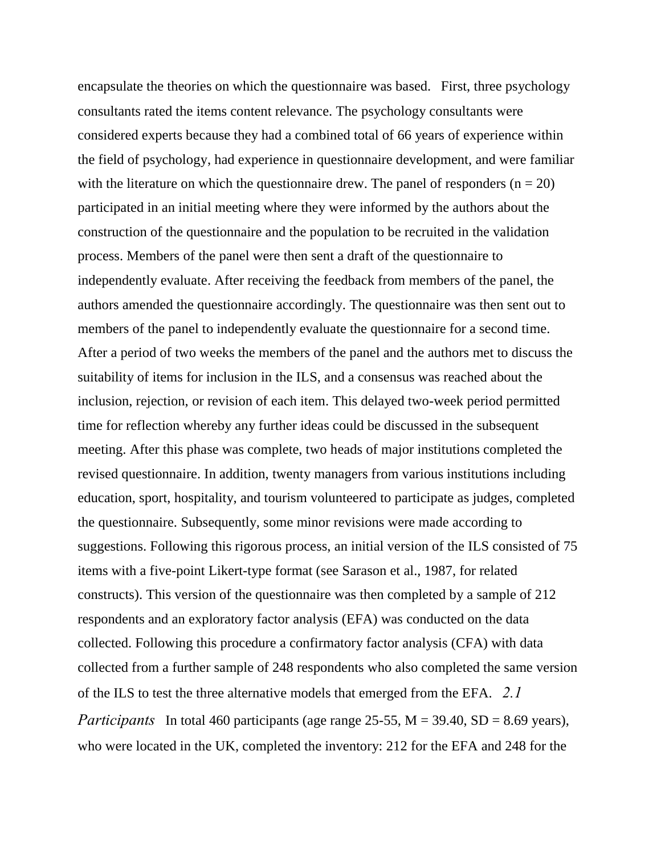encapsulate the theories on which the questionnaire was based. First, three psychology consultants rated the items content relevance. The psychology consultants were considered experts because they had a combined total of 66 years of experience within the field of psychology, had experience in questionnaire development, and were familiar with the literature on which the questionnaire drew. The panel of responders  $(n = 20)$ participated in an initial meeting where they were informed by the authors about the construction of the questionnaire and the population to be recruited in the validation process. Members of the panel were then sent a draft of the questionnaire to independently evaluate. After receiving the feedback from members of the panel, the authors amended the questionnaire accordingly. The questionnaire was then sent out to members of the panel to independently evaluate the questionnaire for a second time. After a period of two weeks the members of the panel and the authors met to discuss the suitability of items for inclusion in the ILS, and a consensus was reached about the inclusion, rejection, or revision of each item. This delayed two-week period permitted time for reflection whereby any further ideas could be discussed in the subsequent meeting. After this phase was complete, two heads of major institutions completed the revised questionnaire. In addition, twenty managers from various institutions including education, sport, hospitality, and tourism volunteered to participate as judges, completed the questionnaire. Subsequently, some minor revisions were made according to suggestions. Following this rigorous process, an initial version of the ILS consisted of 75 items with a five-point Likert-type format (see Sarason et al., 1987, for related constructs). This version of the questionnaire was then completed by a sample of 212 respondents and an exploratory factor analysis (EFA) was conducted on the data collected. Following this procedure a confirmatory factor analysis (CFA) with data collected from a further sample of 248 respondents who also completed the same version of the ILS to test the three alternative models that emerged from the EFA. *2.1 Participants* In total 460 participants (age range 25-55, M = 39.40, SD = 8.69 years), who were located in the UK, completed the inventory: 212 for the EFA and 248 for the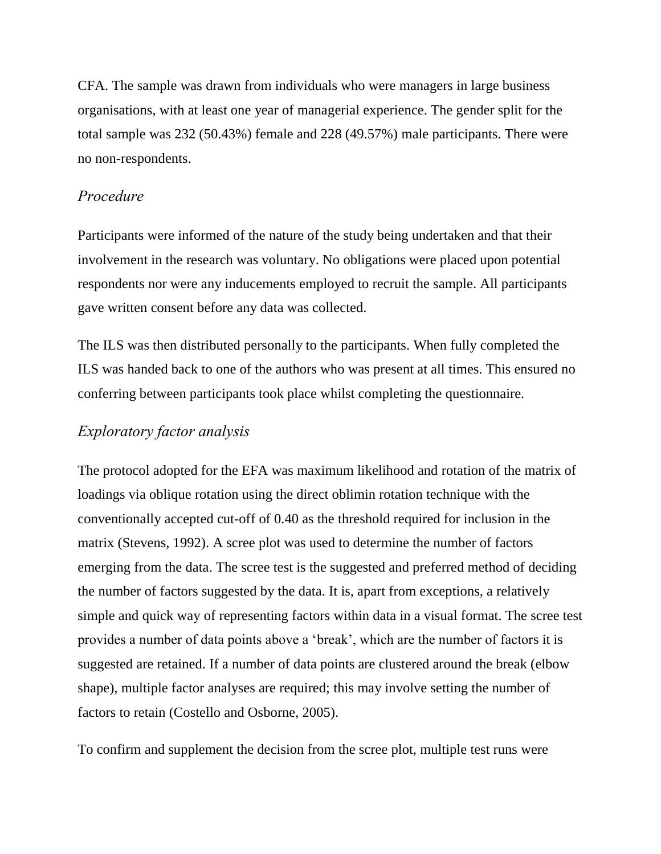CFA. The sample was drawn from individuals who were managers in large business organisations, with at least one year of managerial experience. The gender split for the total sample was 232 (50.43%) female and 228 (49.57%) male participants. There were no non-respondents.

### *Procedure*

Participants were informed of the nature of the study being undertaken and that their involvement in the research was voluntary. No obligations were placed upon potential respondents nor were any inducements employed to recruit the sample. All participants gave written consent before any data was collected.

The ILS was then distributed personally to the participants. When fully completed the ILS was handed back to one of the authors who was present at all times. This ensured no conferring between participants took place whilst completing the questionnaire.

## *Exploratory factor analysis*

The protocol adopted for the EFA was maximum likelihood and rotation of the matrix of loadings via oblique rotation using the direct oblimin rotation technique with the conventionally accepted cut-off of 0.40 as the threshold required for inclusion in the matrix (Stevens, 1992). A scree plot was used to determine the number of factors emerging from the data. The scree test is the suggested and preferred method of deciding the number of factors suggested by the data. It is, apart from exceptions, a relatively simple and quick way of representing factors within data in a visual format. The scree test provides a number of data points above a 'break', which are the number of factors it is suggested are retained. If a number of data points are clustered around the break (elbow shape), multiple factor analyses are required; this may involve setting the number of factors to retain (Costello and Osborne, 2005).

To confirm and supplement the decision from the scree plot, multiple test runs were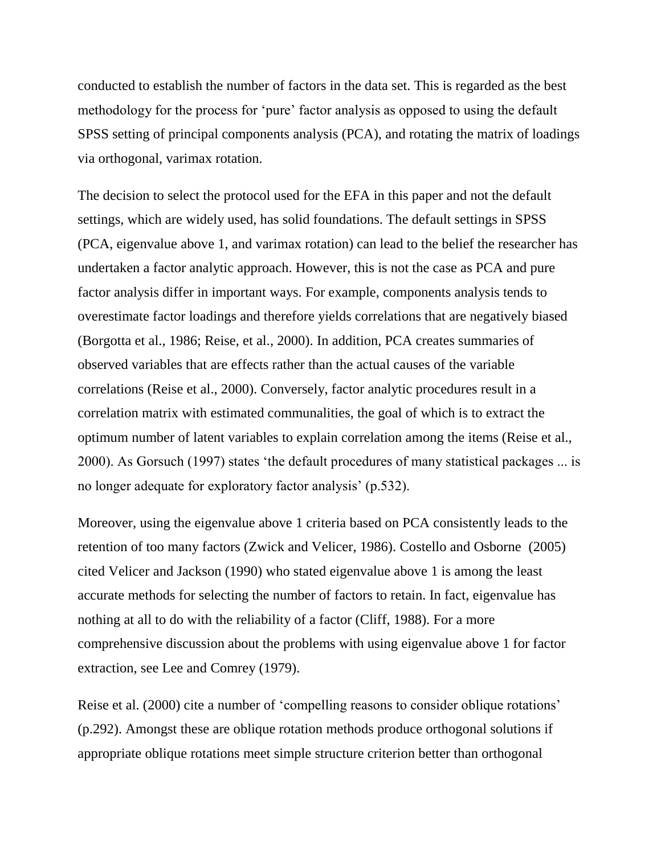conducted to establish the number of factors in the data set. This is regarded as the best methodology for the process for 'pure' factor analysis as opposed to using the default SPSS setting of principal components analysis (PCA), and rotating the matrix of loadings via orthogonal, varimax rotation.

The decision to select the protocol used for the EFA in this paper and not the default settings, which are widely used, has solid foundations. The default settings in SPSS (PCA, eigenvalue above 1, and varimax rotation) can lead to the belief the researcher has undertaken a factor analytic approach. However, this is not the case as PCA and pure factor analysis differ in important ways. For example, components analysis tends to overestimate factor loadings and therefore yields correlations that are negatively biased (Borgotta et al., 1986; Reise, et al., 2000). In addition, PCA creates summaries of observed variables that are effects rather than the actual causes of the variable correlations (Reise et al., 2000). Conversely, factor analytic procedures result in a correlation matrix with estimated communalities, the goal of which is to extract the optimum number of latent variables to explain correlation among the items (Reise et al., 2000). As Gorsuch (1997) states 'the default procedures of many statistical packages ... is no longer adequate for exploratory factor analysis' (p.532).

Moreover, using the eigenvalue above 1 criteria based on PCA consistently leads to the retention of too many factors (Zwick and Velicer, 1986). Costello and Osborne (2005) cited Velicer and Jackson (1990) who stated eigenvalue above 1 is among the least accurate methods for selecting the number of factors to retain. In fact, eigenvalue has nothing at all to do with the reliability of a factor (Cliff, 1988). For a more comprehensive discussion about the problems with using eigenvalue above 1 for factor extraction, see Lee and Comrey (1979).

Reise et al. (2000) cite a number of 'compelling reasons to consider oblique rotations' (p.292). Amongst these are oblique rotation methods produce orthogonal solutions if appropriate oblique rotations meet simple structure criterion better than orthogonal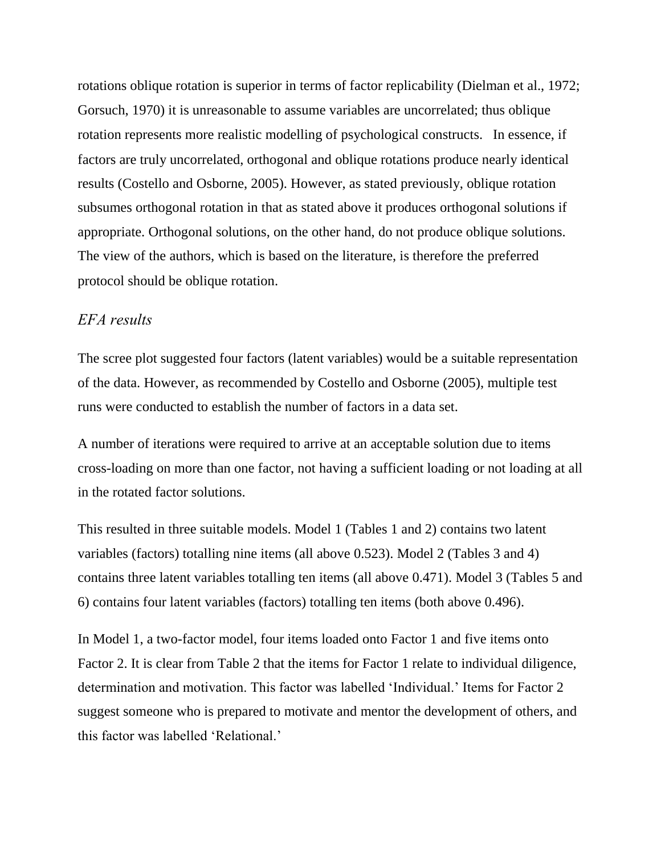rotations oblique rotation is superior in terms of factor replicability (Dielman et al., 1972; Gorsuch, 1970) it is unreasonable to assume variables are uncorrelated; thus oblique rotation represents more realistic modelling of psychological constructs. In essence, if factors are truly uncorrelated, orthogonal and oblique rotations produce nearly identical results (Costello and Osborne, 2005). However, as stated previously, oblique rotation subsumes orthogonal rotation in that as stated above it produces orthogonal solutions if appropriate. Orthogonal solutions, on the other hand, do not produce oblique solutions. The view of the authors, which is based on the literature, is therefore the preferred protocol should be oblique rotation.

#### *EFA results*

The scree plot suggested four factors (latent variables) would be a suitable representation of the data. However, as recommended by Costello and Osborne (2005), multiple test runs were conducted to establish the number of factors in a data set.

A number of iterations were required to arrive at an acceptable solution due to items cross-loading on more than one factor, not having a sufficient loading or not loading at all in the rotated factor solutions.

This resulted in three suitable models. Model 1 (Tables 1 and 2) contains two latent variables (factors) totalling nine items (all above 0.523). Model 2 (Tables 3 and 4) contains three latent variables totalling ten items (all above 0.471). Model 3 (Tables 5 and 6) contains four latent variables (factors) totalling ten items (both above 0.496).

In Model 1, a two-factor model, four items loaded onto Factor 1 and five items onto Factor 2. It is clear from Table 2 that the items for Factor 1 relate to individual diligence, determination and motivation. This factor was labelled 'Individual.' Items for Factor 2 suggest someone who is prepared to motivate and mentor the development of others, and this factor was labelled 'Relational.'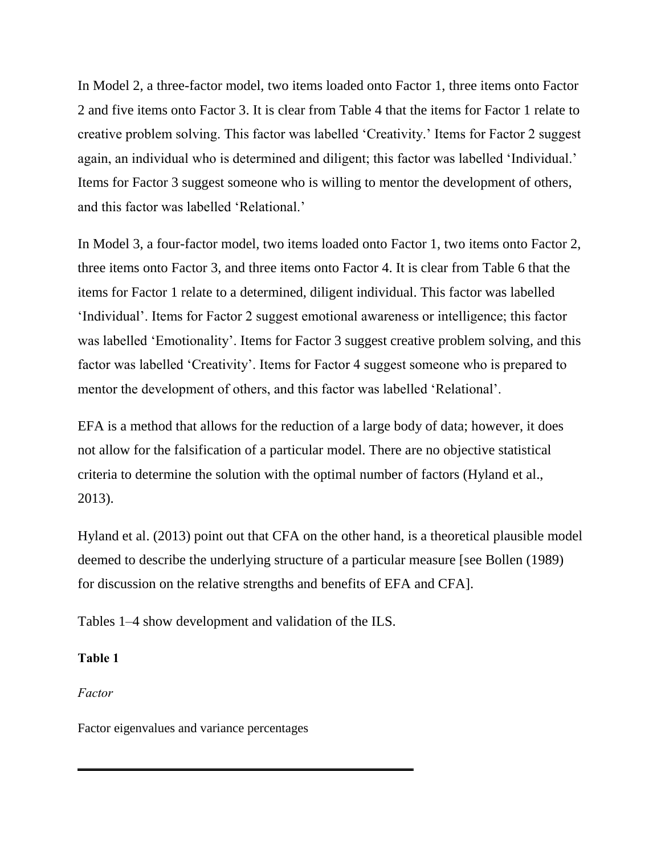In Model 2, a three-factor model, two items loaded onto Factor 1, three items onto Factor 2 and five items onto Factor 3. It is clear from Table 4 that the items for Factor 1 relate to creative problem solving. This factor was labelled 'Creativity.' Items for Factor 2 suggest again, an individual who is determined and diligent; this factor was labelled 'Individual.' Items for Factor 3 suggest someone who is willing to mentor the development of others, and this factor was labelled 'Relational.'

In Model 3, a four-factor model, two items loaded onto Factor 1, two items onto Factor 2, three items onto Factor 3, and three items onto Factor 4. It is clear from Table 6 that the items for Factor 1 relate to a determined, diligent individual. This factor was labelled 'Individual'. Items for Factor 2 suggest emotional awareness or intelligence; this factor was labelled 'Emotionality'. Items for Factor 3 suggest creative problem solving, and this factor was labelled 'Creativity'. Items for Factor 4 suggest someone who is prepared to mentor the development of others, and this factor was labelled 'Relational'.

EFA is a method that allows for the reduction of a large body of data; however, it does not allow for the falsification of a particular model. There are no objective statistical criteria to determine the solution with the optimal number of factors (Hyland et al., 2013).

Hyland et al. (2013) point out that CFA on the other hand, is a theoretical plausible model deemed to describe the underlying structure of a particular measure [see Bollen (1989) for discussion on the relative strengths and benefits of EFA and CFA].

Tables 1–4 show development and validation of the ILS.

#### **Table 1**

*Factor* 

Factor eigenvalues and variance percentages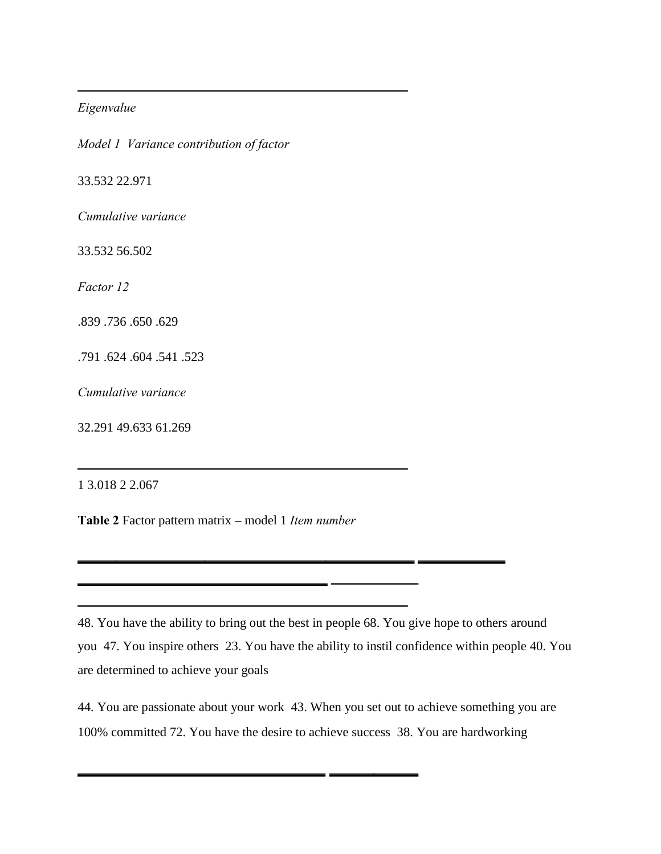#### *Eigenvalue*

*Model 1 Variance contribution of factor* 

33.532 22.971

*Cumulative variance* 

33.532 56.502

*Factor 12* 

.839 .736 .650 .629

.791 .624 .604 .541 .523

*Cumulative variance* 

32.291 49.633 61.269

1 3.018 2 2.067

**Table 2** Factor pattern matrix **–** model 1 *Item number* 

<u> 1989 - John Barnett, fransk politiker (d. 1989)</u>

48. You have the ability to bring out the best in people 68. You give hope to others around you 47. You inspire others 23. You have the ability to instil confidence within people 40. You are determined to achieve your goals

44. You are passionate about your work 43. When you set out to achieve something you are 100% committed 72. You have the desire to achieve success 38. You are hardworking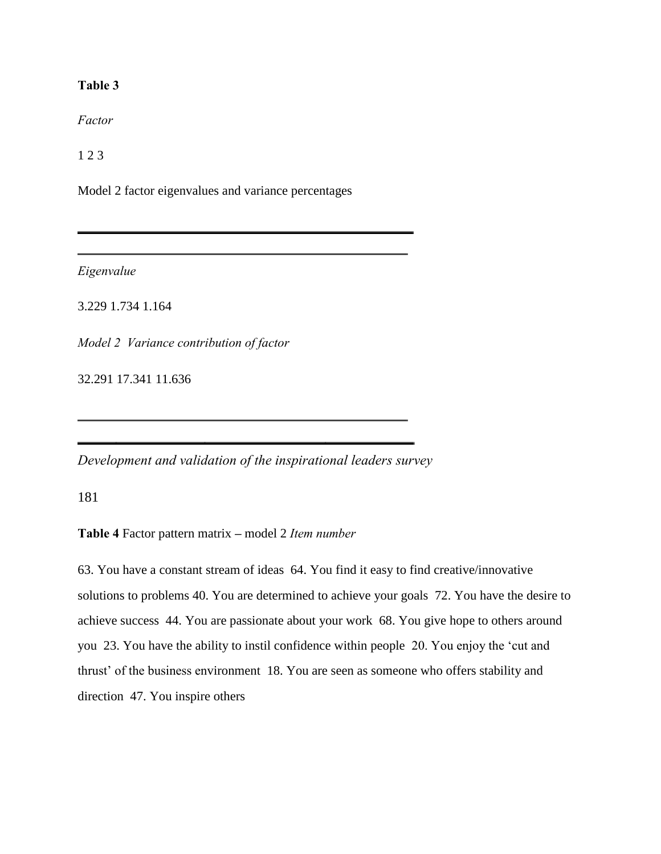#### **Table 3**

*Factor* 

1 2 3

Model 2 factor eigenvalues and variance percentages

*Eigenvalue* 

3.229 1.734 1.164

*Model 2 Variance contribution of factor* 

32.291 17.341 11.636

*Development and validation of the inspirational leaders survey* 

181

**Table 4** Factor pattern matrix **–** model 2 *Item number* 

63. You have a constant stream of ideas 64. You find it easy to find creative/innovative solutions to problems 40. You are determined to achieve your goals 72. You have the desire to achieve success 44. You are passionate about your work 68. You give hope to others around you 23. You have the ability to instil confidence within people 20. You enjoy the 'cut and thrust' of the business environment 18. You are seen as someone who offers stability and direction 47. You inspire others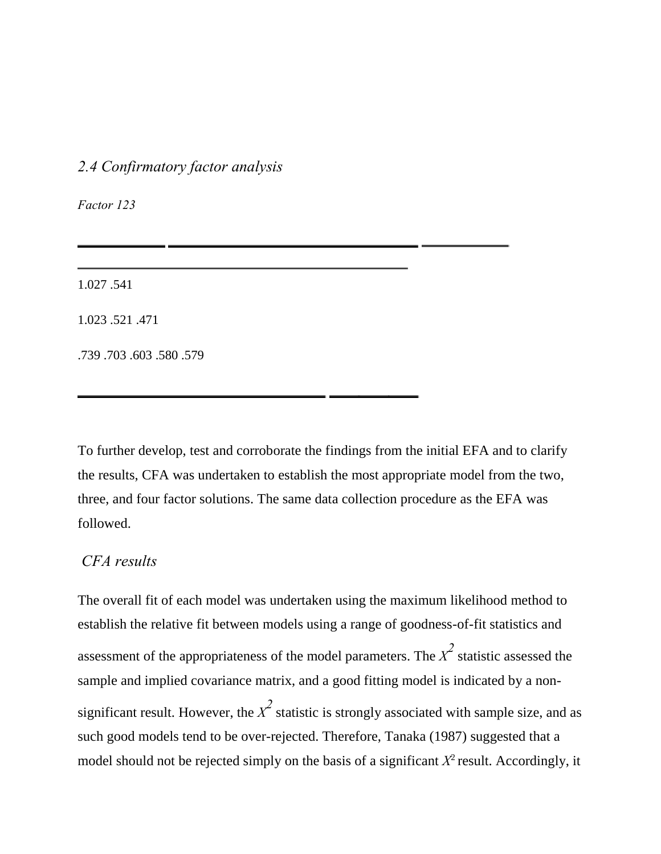### *2.4 Confirmatory factor analysis*

*Factor 123* 

1.027 .541

1.023 .521 .471

.739 .703 .603 .580 .579

To further develop, test and corroborate the findings from the initial EFA and to clarify the results, CFA was undertaken to establish the most appropriate model from the two, three, and four factor solutions. The same data collection procedure as the EFA was followed.

#### *CFA results*

The overall fit of each model was undertaken using the maximum likelihood method to establish the relative fit between models using a range of goodness-of-fit statistics and assessment of the appropriateness of the model parameters. The  $\chi^2$  statistic assessed the sample and implied covariance matrix, and a good fitting model is indicated by a nonsignificant result. However, the  $X^2$  statistic is strongly associated with sample size, and as such good models tend to be over-rejected. Therefore, Tanaka (1987) suggested that a model should not be rejected simply on the basis of a significant  $X^2$  result. Accordingly, it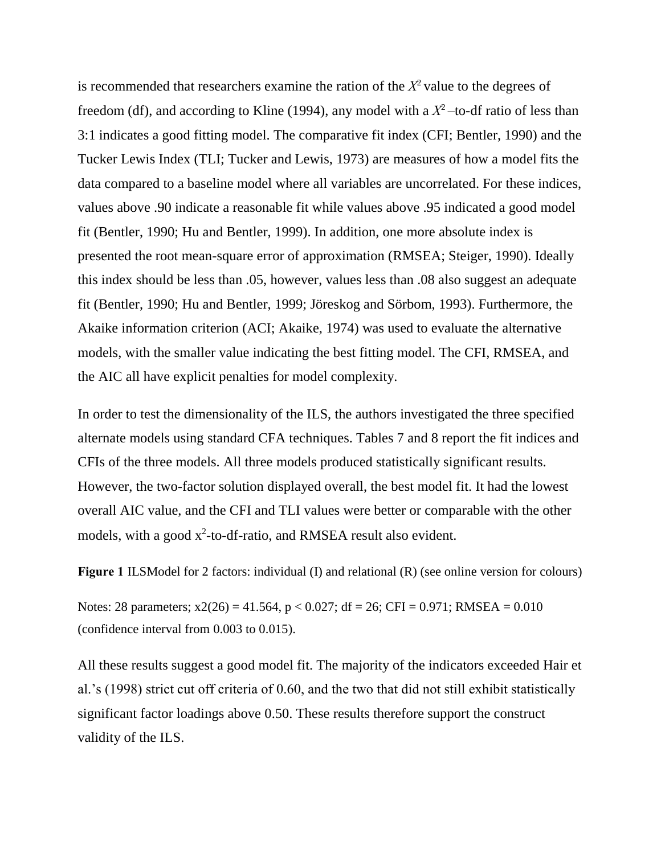is recommended that researchers examine the ration of the  $X^2$  value to the degrees of freedom (df), and according to Kline (1994), any model with a  $X^2$  -to-df ratio of less than 3:1 indicates a good fitting model. The comparative fit index (CFI; Bentler, 1990) and the Tucker Lewis Index (TLI; Tucker and Lewis, 1973) are measures of how a model fits the data compared to a baseline model where all variables are uncorrelated. For these indices, values above .90 indicate a reasonable fit while values above .95 indicated a good model fit (Bentler, 1990; Hu and Bentler, 1999). In addition, one more absolute index is presented the root mean-square error of approximation (RMSEA; Steiger, 1990). Ideally this index should be less than .05, however, values less than .08 also suggest an adequate fit (Bentler, 1990; Hu and Bentler, 1999; Jöreskog and Sörbom, 1993). Furthermore, the Akaike information criterion (ACI; Akaike, 1974) was used to evaluate the alternative models, with the smaller value indicating the best fitting model. The CFI, RMSEA, and the AIC all have explicit penalties for model complexity.

In order to test the dimensionality of the ILS, the authors investigated the three specified alternate models using standard CFA techniques. Tables 7 and 8 report the fit indices and CFIs of the three models. All three models produced statistically significant results. However, the two-factor solution displayed overall, the best model fit. It had the lowest overall AIC value, and the CFI and TLI values were better or comparable with the other models, with a good  $x^2$ -to-df-ratio, and RMSEA result also evident.

**Figure 1** ILSModel for 2 factors: individual (I) and relational (R) (see online version for colours)

Notes: 28 parameters;  $x2(26) = 41.564$ ,  $p < 0.027$ ; df = 26; CFI = 0.971; RMSEA = 0.010 (confidence interval from 0.003 to 0.015).

All these results suggest a good model fit. The majority of the indicators exceeded Hair et al.'s (1998) strict cut off criteria of 0.60, and the two that did not still exhibit statistically significant factor loadings above 0.50. These results therefore support the construct validity of the ILS.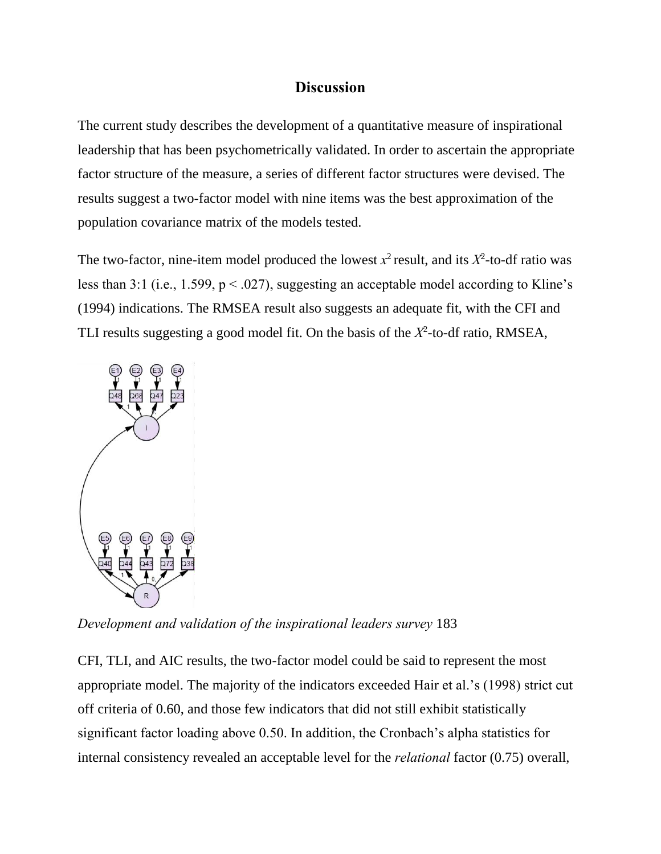#### **Discussion**

The current study describes the development of a quantitative measure of inspirational leadership that has been psychometrically validated. In order to ascertain the appropriate factor structure of the measure, a series of different factor structures were devised. The results suggest a two-factor model with nine items was the best approximation of the population covariance matrix of the models tested.

The two-factor, nine-item model produced the lowest  $x^2$  result, and its  $X^2$ -to-df ratio was less than 3:1 (i.e., 1.599,  $p < .027$ ), suggesting an acceptable model according to Kline's (1994) indications. The RMSEA result also suggests an adequate fit, with the CFI and TLI results suggesting a good model fit. On the basis of the  $X^2$ -to-df ratio, RMSEA,



*Development and validation of the inspirational leaders survey* 183

CFI, TLI, and AIC results, the two-factor model could be said to represent the most appropriate model. The majority of the indicators exceeded Hair et al.'s (1998) strict cut off criteria of 0.60, and those few indicators that did not still exhibit statistically significant factor loading above 0.50. In addition, the Cronbach's alpha statistics for internal consistency revealed an acceptable level for the *relational* factor (0.75) overall,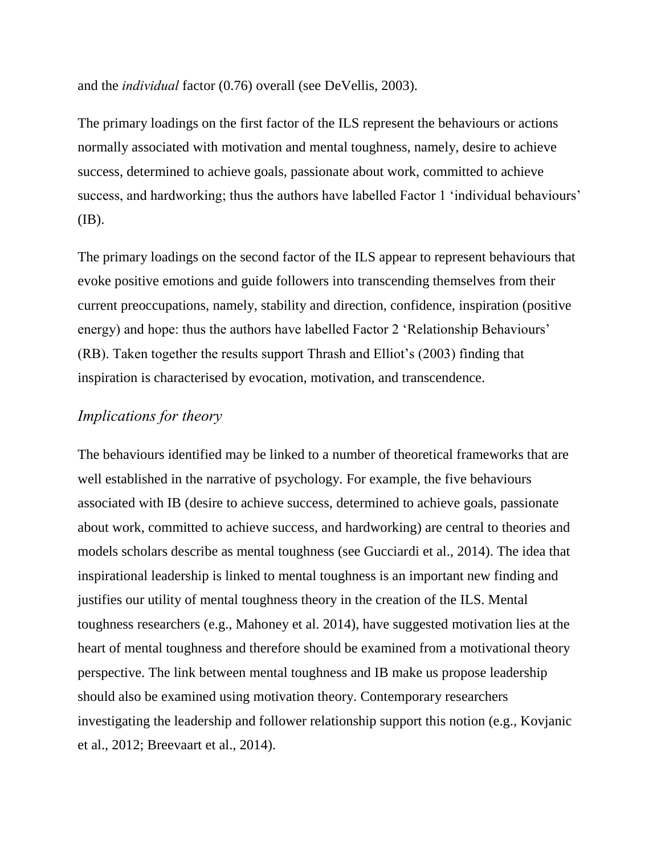and the *individual* factor (0.76) overall (see DeVellis, 2003).

The primary loadings on the first factor of the ILS represent the behaviours or actions normally associated with motivation and mental toughness, namely, desire to achieve success, determined to achieve goals, passionate about work, committed to achieve success, and hardworking; thus the authors have labelled Factor 1 'individual behaviours' (IB).

The primary loadings on the second factor of the ILS appear to represent behaviours that evoke positive emotions and guide followers into transcending themselves from their current preoccupations, namely, stability and direction, confidence, inspiration (positive energy) and hope: thus the authors have labelled Factor 2 'Relationship Behaviours' (RB). Taken together the results support Thrash and Elliot's (2003) finding that inspiration is characterised by evocation, motivation, and transcendence.

#### *Implications for theory*

The behaviours identified may be linked to a number of theoretical frameworks that are well established in the narrative of psychology. For example, the five behaviours associated with IB (desire to achieve success, determined to achieve goals, passionate about work, committed to achieve success, and hardworking) are central to theories and models scholars describe as mental toughness (see Gucciardi et al., 2014). The idea that inspirational leadership is linked to mental toughness is an important new finding and justifies our utility of mental toughness theory in the creation of the ILS. Mental toughness researchers (e.g., Mahoney et al. 2014), have suggested motivation lies at the heart of mental toughness and therefore should be examined from a motivational theory perspective. The link between mental toughness and IB make us propose leadership should also be examined using motivation theory. Contemporary researchers investigating the leadership and follower relationship support this notion (e.g., Kovjanic et al., 2012; Breevaart et al., 2014).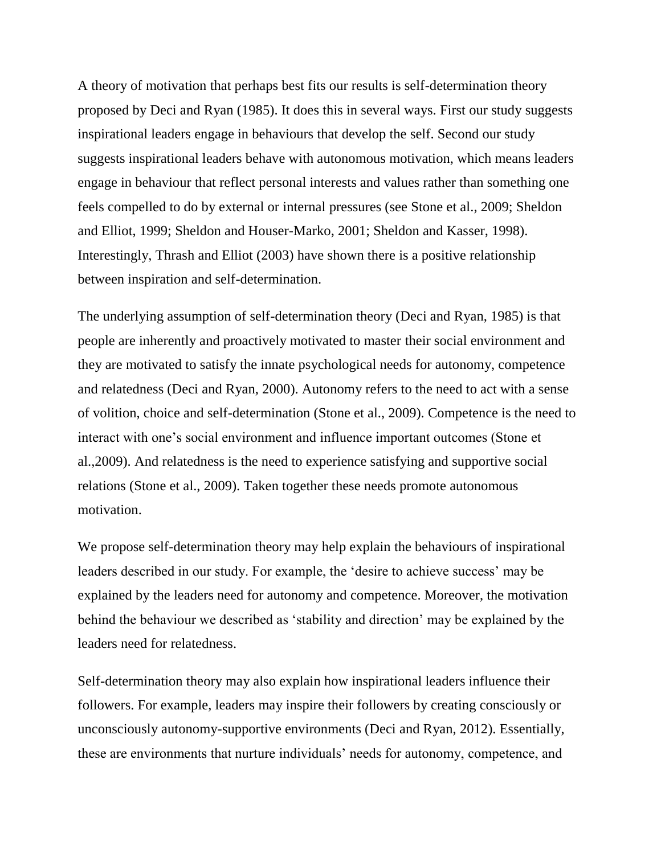A theory of motivation that perhaps best fits our results is self-determination theory proposed by Deci and Ryan (1985). It does this in several ways. First our study suggests inspirational leaders engage in behaviours that develop the self. Second our study suggests inspirational leaders behave with autonomous motivation, which means leaders engage in behaviour that reflect personal interests and values rather than something one feels compelled to do by external or internal pressures (see Stone et al., 2009; Sheldon and Elliot, 1999; Sheldon and Houser-Marko, 2001; Sheldon and Kasser, 1998). Interestingly, Thrash and Elliot (2003) have shown there is a positive relationship between inspiration and self-determination.

The underlying assumption of self-determination theory (Deci and Ryan, 1985) is that people are inherently and proactively motivated to master their social environment and they are motivated to satisfy the innate psychological needs for autonomy, competence and relatedness (Deci and Ryan, 2000). Autonomy refers to the need to act with a sense of volition, choice and self-determination (Stone et al., 2009). Competence is the need to interact with one's social environment and influence important outcomes (Stone et al.,2009). And relatedness is the need to experience satisfying and supportive social relations (Stone et al., 2009). Taken together these needs promote autonomous motivation.

We propose self-determination theory may help explain the behaviours of inspirational leaders described in our study. For example, the 'desire to achieve success' may be explained by the leaders need for autonomy and competence. Moreover, the motivation behind the behaviour we described as 'stability and direction' may be explained by the leaders need for relatedness.

Self-determination theory may also explain how inspirational leaders influence their followers. For example, leaders may inspire their followers by creating consciously or unconsciously autonomy-supportive environments (Deci and Ryan, 2012). Essentially, these are environments that nurture individuals' needs for autonomy, competence, and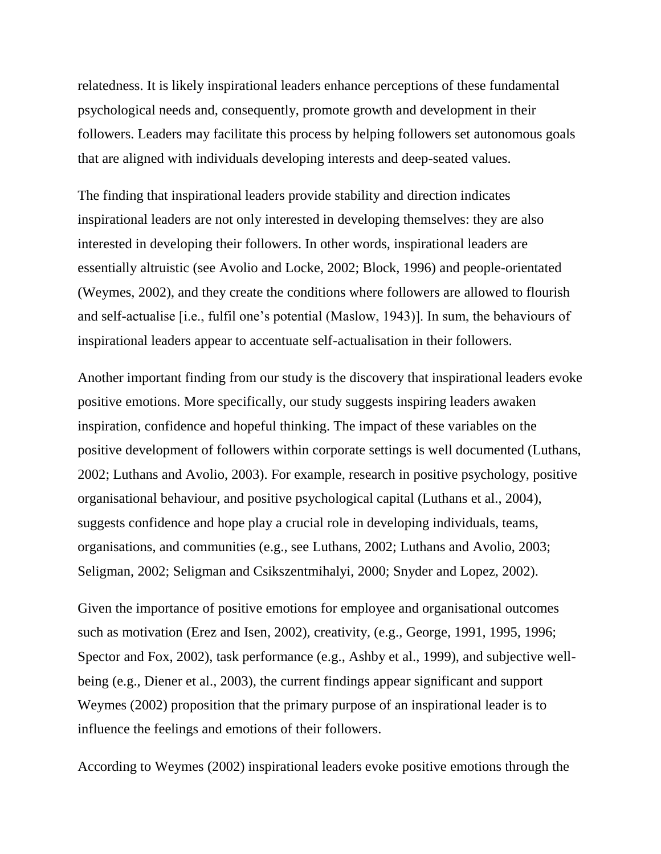relatedness. It is likely inspirational leaders enhance perceptions of these fundamental psychological needs and, consequently, promote growth and development in their followers. Leaders may facilitate this process by helping followers set autonomous goals that are aligned with individuals developing interests and deep-seated values.

The finding that inspirational leaders provide stability and direction indicates inspirational leaders are not only interested in developing themselves: they are also interested in developing their followers. In other words, inspirational leaders are essentially altruistic (see Avolio and Locke, 2002; Block, 1996) and people-orientated (Weymes, 2002), and they create the conditions where followers are allowed to flourish and self-actualise [i.e., fulfil one's potential (Maslow, 1943)]. In sum, the behaviours of inspirational leaders appear to accentuate self-actualisation in their followers.

Another important finding from our study is the discovery that inspirational leaders evoke positive emotions. More specifically, our study suggests inspiring leaders awaken inspiration, confidence and hopeful thinking. The impact of these variables on the positive development of followers within corporate settings is well documented (Luthans, 2002; Luthans and Avolio, 2003). For example, research in positive psychology, positive organisational behaviour, and positive psychological capital (Luthans et al., 2004), suggests confidence and hope play a crucial role in developing individuals, teams, organisations, and communities (e.g., see Luthans, 2002; Luthans and Avolio, 2003; Seligman, 2002; Seligman and Csikszentmihalyi, 2000; Snyder and Lopez, 2002).

Given the importance of positive emotions for employee and organisational outcomes such as motivation (Erez and Isen, 2002), creativity, (e.g., George, 1991, 1995, 1996; Spector and Fox, 2002), task performance (e.g., Ashby et al., 1999), and subjective wellbeing (e.g., Diener et al., 2003), the current findings appear significant and support Weymes (2002) proposition that the primary purpose of an inspirational leader is to influence the feelings and emotions of their followers.

According to Weymes (2002) inspirational leaders evoke positive emotions through the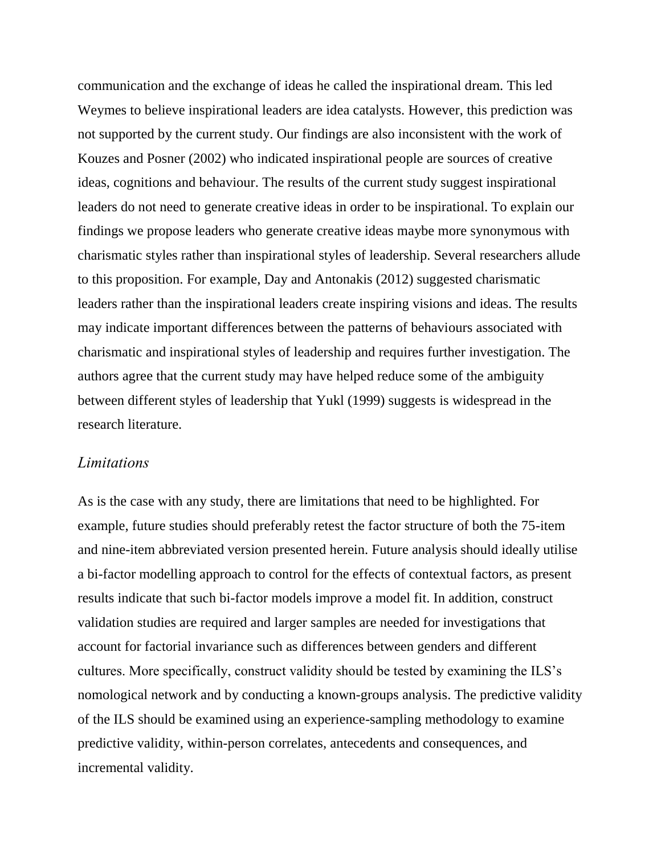communication and the exchange of ideas he called the inspirational dream. This led Weymes to believe inspirational leaders are idea catalysts. However, this prediction was not supported by the current study. Our findings are also inconsistent with the work of Kouzes and Posner (2002) who indicated inspirational people are sources of creative ideas, cognitions and behaviour. The results of the current study suggest inspirational leaders do not need to generate creative ideas in order to be inspirational. To explain our findings we propose leaders who generate creative ideas maybe more synonymous with charismatic styles rather than inspirational styles of leadership. Several researchers allude to this proposition. For example, Day and Antonakis (2012) suggested charismatic leaders rather than the inspirational leaders create inspiring visions and ideas. The results may indicate important differences between the patterns of behaviours associated with charismatic and inspirational styles of leadership and requires further investigation. The authors agree that the current study may have helped reduce some of the ambiguity between different styles of leadership that Yukl (1999) suggests is widespread in the research literature.

#### *Limitations*

As is the case with any study, there are limitations that need to be highlighted. For example, future studies should preferably retest the factor structure of both the 75-item and nine-item abbreviated version presented herein. Future analysis should ideally utilise a bi-factor modelling approach to control for the effects of contextual factors, as present results indicate that such bi-factor models improve a model fit. In addition, construct validation studies are required and larger samples are needed for investigations that account for factorial invariance such as differences between genders and different cultures. More specifically, construct validity should be tested by examining the ILS's nomological network and by conducting a known-groups analysis. The predictive validity of the ILS should be examined using an experience-sampling methodology to examine predictive validity, within-person correlates, antecedents and consequences, and incremental validity.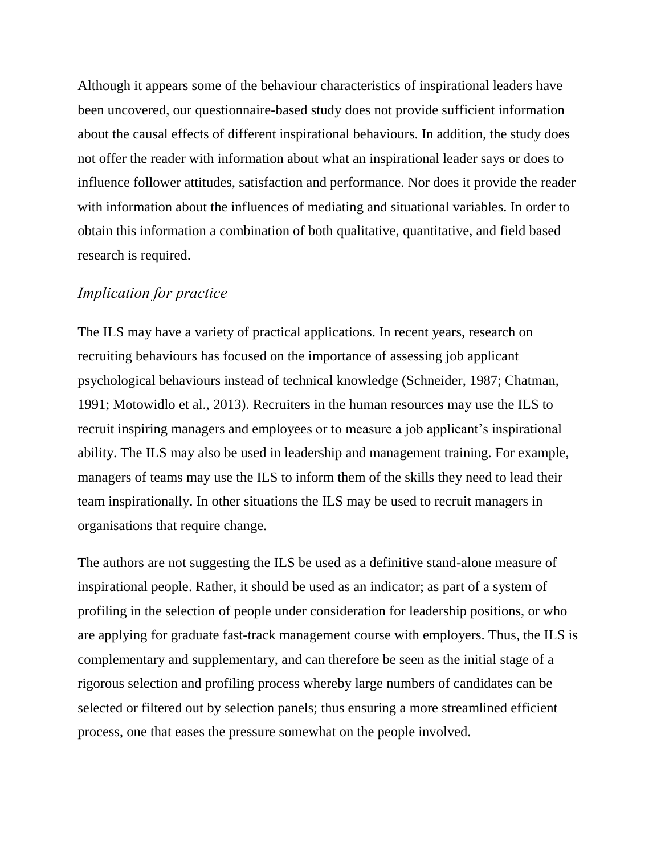Although it appears some of the behaviour characteristics of inspirational leaders have been uncovered, our questionnaire-based study does not provide sufficient information about the causal effects of different inspirational behaviours. In addition, the study does not offer the reader with information about what an inspirational leader says or does to influence follower attitudes, satisfaction and performance. Nor does it provide the reader with information about the influences of mediating and situational variables. In order to obtain this information a combination of both qualitative, quantitative, and field based research is required.

## *Implication for practice*

The ILS may have a variety of practical applications. In recent years, research on recruiting behaviours has focused on the importance of assessing job applicant psychological behaviours instead of technical knowledge (Schneider, 1987; Chatman, 1991; Motowidlo et al., 2013). Recruiters in the human resources may use the ILS to recruit inspiring managers and employees or to measure a job applicant's inspirational ability. The ILS may also be used in leadership and management training. For example, managers of teams may use the ILS to inform them of the skills they need to lead their team inspirationally. In other situations the ILS may be used to recruit managers in organisations that require change.

The authors are not suggesting the ILS be used as a definitive stand-alone measure of inspirational people. Rather, it should be used as an indicator; as part of a system of profiling in the selection of people under consideration for leadership positions, or who are applying for graduate fast-track management course with employers. Thus, the ILS is complementary and supplementary, and can therefore be seen as the initial stage of a rigorous selection and profiling process whereby large numbers of candidates can be selected or filtered out by selection panels; thus ensuring a more streamlined efficient process, one that eases the pressure somewhat on the people involved.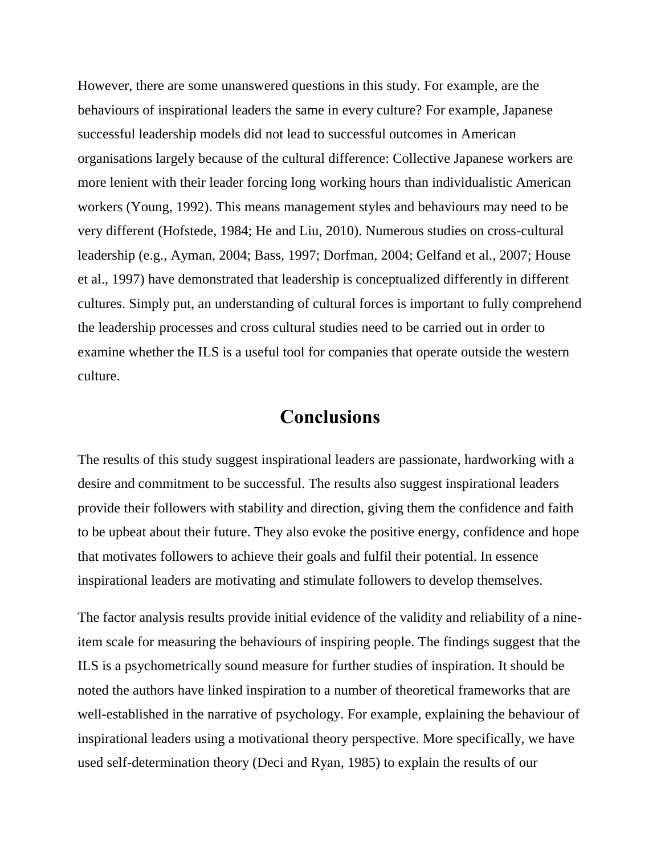However, there are some unanswered questions in this study. For example, are the behaviours of inspirational leaders the same in every culture? For example, Japanese successful leadership models did not lead to successful outcomes in American organisations largely because of the cultural difference: Collective Japanese workers are more lenient with their leader forcing long working hours than individualistic American workers (Young, 1992). This means management styles and behaviours may need to be very different (Hofstede, 1984; He and Liu, 2010). Numerous studies on cross-cultural leadership (e.g., Ayman, 2004; Bass, 1997; Dorfman, 2004; Gelfand et al., 2007; House et al., 1997) have demonstrated that leadership is conceptualized differently in different cultures. Simply put, an understanding of cultural forces is important to fully comprehend the leadership processes and cross cultural studies need to be carried out in order to examine whether the ILS is a useful tool for companies that operate outside the western culture.

## **Conclusions**

The results of this study suggest inspirational leaders are passionate, hardworking with a desire and commitment to be successful. The results also suggest inspirational leaders provide their followers with stability and direction, giving them the confidence and faith to be upbeat about their future. They also evoke the positive energy, confidence and hope that motivates followers to achieve their goals and fulfil their potential. In essence inspirational leaders are motivating and stimulate followers to develop themselves.

The factor analysis results provide initial evidence of the validity and reliability of a nineitem scale for measuring the behaviours of inspiring people. The findings suggest that the ILS is a psychometrically sound measure for further studies of inspiration. It should be noted the authors have linked inspiration to a number of theoretical frameworks that are well-established in the narrative of psychology. For example, explaining the behaviour of inspirational leaders using a motivational theory perspective. More specifically, we have used self-determination theory (Deci and Ryan, 1985) to explain the results of our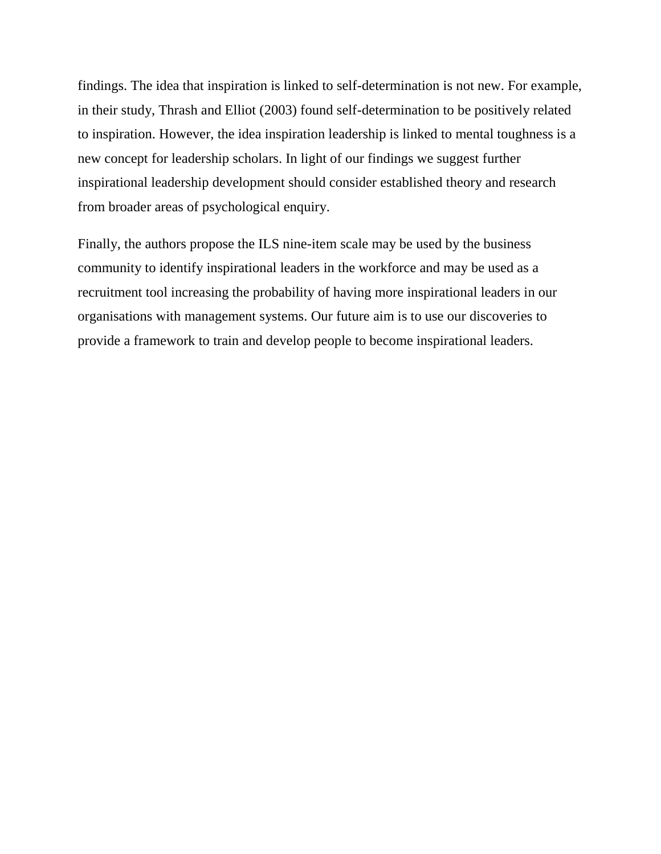findings. The idea that inspiration is linked to self-determination is not new. For example, in their study, Thrash and Elliot (2003) found self-determination to be positively related to inspiration. However, the idea inspiration leadership is linked to mental toughness is a new concept for leadership scholars. In light of our findings we suggest further inspirational leadership development should consider established theory and research from broader areas of psychological enquiry.

Finally, the authors propose the ILS nine-item scale may be used by the business community to identify inspirational leaders in the workforce and may be used as a recruitment tool increasing the probability of having more inspirational leaders in our organisations with management systems. Our future aim is to use our discoveries to provide a framework to train and develop people to become inspirational leaders.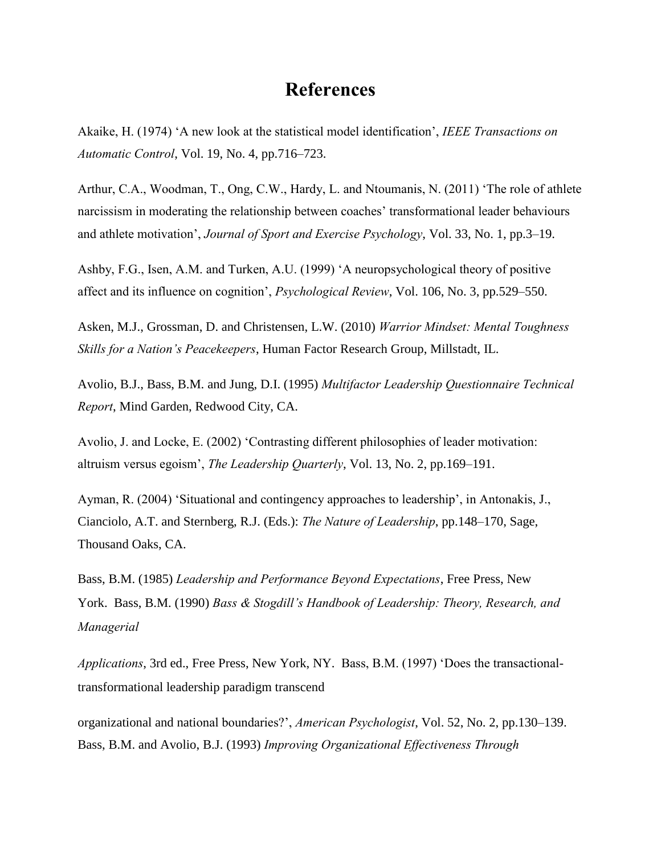## **References**

Akaike, H. (1974) 'A new look at the statistical model identification', *IEEE Transactions on Automatic Control*, Vol. 19, No. 4, pp.716–723.

Arthur, C.A., Woodman, T., Ong, C.W., Hardy, L. and Ntoumanis, N. (2011) 'The role of athlete narcissism in moderating the relationship between coaches' transformational leader behaviours and athlete motivation', *Journal of Sport and Exercise Psychology*, Vol. 33, No. 1, pp.3–19.

Ashby, F.G., Isen, A.M. and Turken, A.U. (1999) 'A neuropsychological theory of positive affect and its influence on cognition', *Psychological Review*, Vol. 106, No. 3, pp.529–550.

Asken, M.J., Grossman, D. and Christensen, L.W. (2010) *Warrior Mindset: Mental Toughness Skills for a Nation's Peacekeepers*, Human Factor Research Group, Millstadt, IL.

Avolio, B.J., Bass, B.M. and Jung, D.I. (1995) *Multifactor Leadership Questionnaire Technical Report*, Mind Garden, Redwood City, CA.

Avolio, J. and Locke, E. (2002) 'Contrasting different philosophies of leader motivation: altruism versus egoism', *The Leadership Quarterly*, Vol. 13, No. 2, pp.169–191.

Ayman, R. (2004) 'Situational and contingency approaches to leadership', in Antonakis, J., Cianciolo, A.T. and Sternberg, R.J. (Eds.): *The Nature of Leadership*, pp.148–170, Sage, Thousand Oaks, CA.

Bass, B.M. (1985) *Leadership and Performance Beyond Expectations*, Free Press, New York. Bass, B.M. (1990) *Bass & Stogdill's Handbook of Leadership: Theory, Research, and Managerial* 

*Applications*, 3rd ed., Free Press, New York, NY. Bass, B.M. (1997) 'Does the transactionaltransformational leadership paradigm transcend

organizational and national boundaries?', *American Psychologist*, Vol. 52, No. 2, pp.130–139. Bass, B.M. and Avolio, B.J. (1993) *Improving Organizational Effectiveness Through*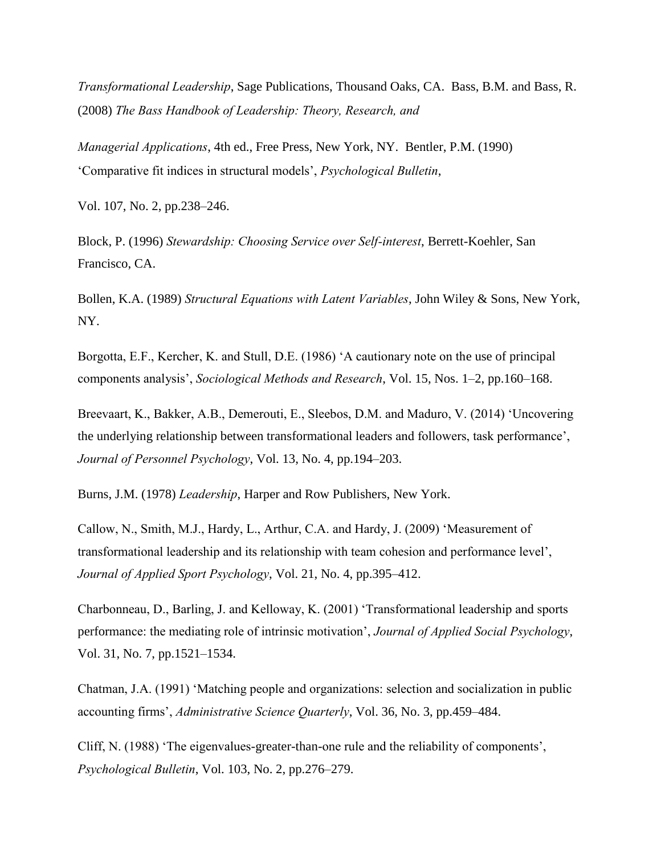*Transformational Leadership*, Sage Publications, Thousand Oaks, CA. Bass, B.M. and Bass, R. (2008) *The Bass Handbook of Leadership: Theory, Research, and* 

*Managerial Applications*, 4th ed., Free Press, New York, NY. Bentler, P.M. (1990) 'Comparative fit indices in structural models', *Psychological Bulletin*,

Vol. 107, No. 2, pp.238–246.

Block, P. (1996) *Stewardship: Choosing Service over Self-interest*, Berrett-Koehler, San Francisco, CA.

Bollen, K.A. (1989) *Structural Equations with Latent Variables*, John Wiley & Sons, New York, NY.

Borgotta, E.F., Kercher, K. and Stull, D.E. (1986) 'A cautionary note on the use of principal components analysis', *Sociological Methods and Research*, Vol. 15, Nos. 1–2, pp.160–168.

Breevaart, K., Bakker, A.B., Demerouti, E., Sleebos, D.M. and Maduro, V. (2014) 'Uncovering the underlying relationship between transformational leaders and followers, task performance', *Journal of Personnel Psychology*, Vol. 13, No. 4, pp.194–203.

Burns, J.M. (1978) *Leadership*, Harper and Row Publishers, New York.

Callow, N., Smith, M.J., Hardy, L., Arthur, C.A. and Hardy, J. (2009) 'Measurement of transformational leadership and its relationship with team cohesion and performance level', *Journal of Applied Sport Psychology*, Vol. 21, No. 4, pp.395–412.

Charbonneau, D., Barling, J. and Kelloway, K. (2001) 'Transformational leadership and sports performance: the mediating role of intrinsic motivation', *Journal of Applied Social Psychology*, Vol. 31, No. 7, pp.1521–1534.

Chatman, J.A. (1991) 'Matching people and organizations: selection and socialization in public accounting firms', *Administrative Science Quarterly*, Vol. 36, No. 3, pp.459–484.

Cliff, N. (1988) 'The eigenvalues-greater-than-one rule and the reliability of components', *Psychological Bulletin*, Vol. 103, No. 2, pp.276–279.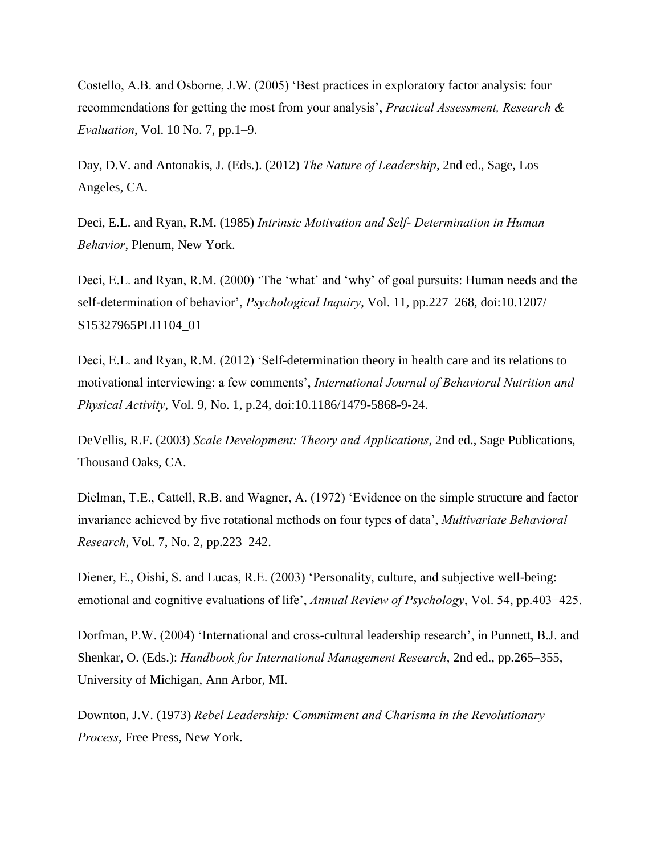Costello, A.B. and Osborne, J.W. (2005) 'Best practices in exploratory factor analysis: four recommendations for getting the most from your analysis', *Practical Assessment, Research & Evaluation*, Vol. 10 No. 7, pp.1–9.

Day, D.V. and Antonakis, J. (Eds.). (2012) *The Nature of Leadership*, 2nd ed., Sage, Los Angeles, CA.

Deci, E.L. and Ryan, R.M. (1985) *Intrinsic Motivation and Self- Determination in Human Behavior*, Plenum, New York.

Deci, E.L. and Ryan, R.M. (2000) 'The 'what' and 'why' of goal pursuits: Human needs and the self-determination of behavior', *Psychological Inquiry*, Vol. 11, pp.227–268, doi:10.1207/ S15327965PLI1104\_01

Deci, E.L. and Ryan, R.M. (2012) 'Self-determination theory in health care and its relations to motivational interviewing: a few comments', *International Journal of Behavioral Nutrition and Physical Activity*, Vol. 9, No. 1, p.24, doi:10.1186/1479-5868-9-24.

DeVellis, R.F. (2003) *Scale Development: Theory and Applications*, 2nd ed., Sage Publications, Thousand Oaks, CA.

Dielman, T.E., Cattell, R.B. and Wagner, A. (1972) 'Evidence on the simple structure and factor invariance achieved by five rotational methods on four types of data', *Multivariate Behavioral Research*, Vol. 7, No. 2, pp.223–242.

Diener, E., Oishi, S. and Lucas, R.E. (2003) 'Personality, culture, and subjective well-being: emotional and cognitive evaluations of life', *Annual Review of Psychology*, Vol. 54, pp.403−425.

Dorfman, P.W. (2004) 'International and cross-cultural leadership research', in Punnett, B.J. and Shenkar, O. (Eds.): *Handbook for International Management Research*, 2nd ed., pp.265–355, University of Michigan, Ann Arbor, MI.

Downton, J.V. (1973) *Rebel Leadership: Commitment and Charisma in the Revolutionary Process*, Free Press, New York.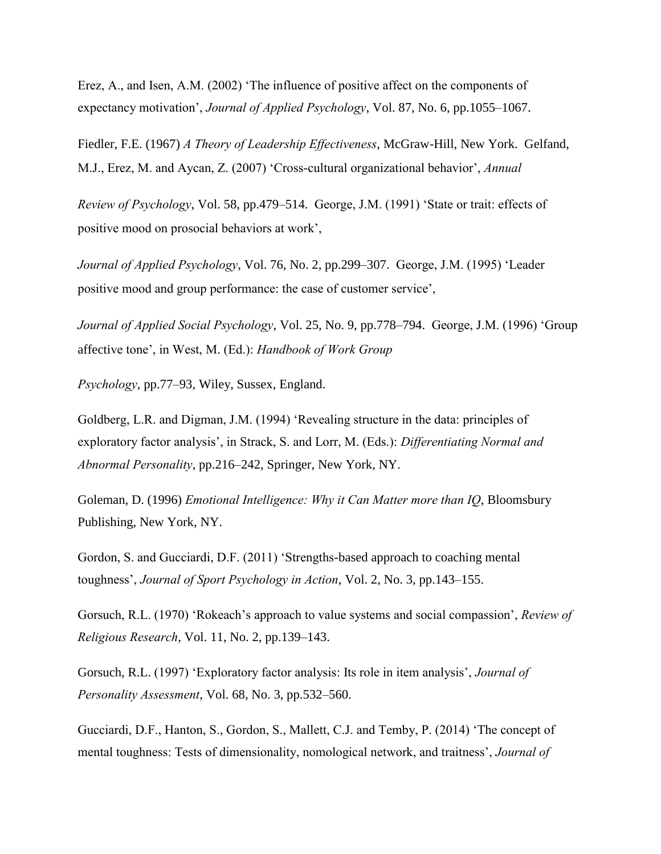Erez, A., and Isen, A.M. (2002) 'The influence of positive affect on the components of expectancy motivation', *Journal of Applied Psychology*, Vol. 87, No. 6, pp.1055–1067.

Fiedler, F.E. (1967) *A Theory of Leadership Effectiveness*, McGraw-Hill, New York. Gelfand, M.J., Erez, M. and Aycan, Z. (2007) 'Cross-cultural organizational behavior', *Annual* 

*Review of Psychology*, Vol. 58, pp.479–514. George, J.M. (1991) 'State or trait: effects of positive mood on prosocial behaviors at work',

*Journal of Applied Psychology*, Vol. 76, No. 2, pp.299–307. George, J.M. (1995) 'Leader positive mood and group performance: the case of customer service',

*Journal of Applied Social Psychology*, Vol. 25, No. 9, pp.778–794. George, J.M. (1996) 'Group affective tone', in West, M. (Ed.): *Handbook of Work Group* 

*Psychology*, pp.77–93, Wiley, Sussex, England.

Goldberg, L.R. and Digman, J.M. (1994) 'Revealing structure in the data: principles of exploratory factor analysis', in Strack, S. and Lorr, M. (Eds.): *Differentiating Normal and Abnormal Personality*, pp.216–242, Springer, New York, NY.

Goleman, D. (1996) *Emotional Intelligence: Why it Can Matter more than IQ*, Bloomsbury Publishing, New York, NY.

Gordon, S. and Gucciardi, D.F. (2011) 'Strengths-based approach to coaching mental toughness', *Journal of Sport Psychology in Action*, Vol. 2, No. 3, pp.143–155.

Gorsuch, R.L. (1970) 'Rokeach's approach to value systems and social compassion', *Review of Religious Research*, Vol. 11, No. 2, pp.139–143.

Gorsuch, R.L. (1997) 'Exploratory factor analysis: Its role in item analysis', *Journal of Personality Assessment*, Vol. 68, No. 3, pp.532–560.

Gucciardi, D.F., Hanton, S., Gordon, S., Mallett, C.J. and Temby, P. (2014) 'The concept of mental toughness: Tests of dimensionality, nomological network, and traitness', *Journal of*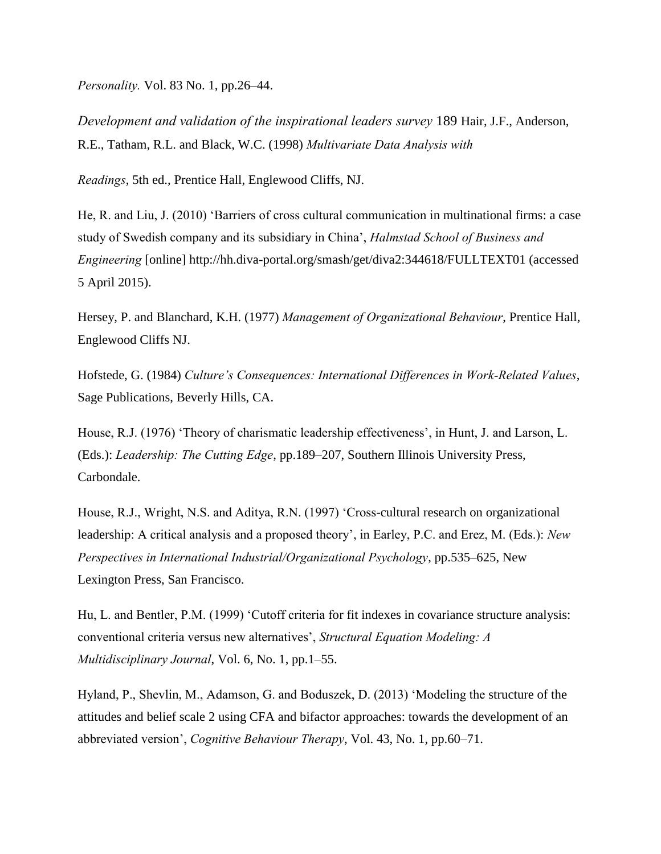*Personality.* Vol. 83 No. 1, pp.26–44.

*Development and validation of the inspirational leaders survey* 189 Hair, J.F., Anderson, R.E., Tatham, R.L. and Black, W.C. (1998) *Multivariate Data Analysis with* 

*Readings*, 5th ed., Prentice Hall, Englewood Cliffs, NJ.

He, R. and Liu, J. (2010) 'Barriers of cross cultural communication in multinational firms: a case study of Swedish company and its subsidiary in China', *Halmstad School of Business and Engineering* [online] http://hh.diva-portal.org/smash/get/diva2:344618/FULLTEXT01 (accessed 5 April 2015).

Hersey, P. and Blanchard, K.H. (1977) *Management of Organizational Behaviour*, Prentice Hall, Englewood Cliffs NJ.

Hofstede, G. (1984) *Culture's Consequences: International Differences in Work-Related Values*, Sage Publications, Beverly Hills, CA.

House, R.J. (1976) 'Theory of charismatic leadership effectiveness', in Hunt, J. and Larson, L. (Eds.): *Leadership: The Cutting Edge*, pp.189–207, Southern Illinois University Press, Carbondale.

House, R.J., Wright, N.S. and Aditya, R.N. (1997) 'Cross-cultural research on organizational leadership: A critical analysis and a proposed theory', in Earley, P.C. and Erez, M. (Eds.): *New Perspectives in International Industrial/Organizational Psychology*, pp.535–625, New Lexington Press, San Francisco.

Hu, L. and Bentler, P.M. (1999) 'Cutoff criteria for fit indexes in covariance structure analysis: conventional criteria versus new alternatives', *Structural Equation Modeling: A Multidisciplinary Journal*, Vol. 6, No. 1, pp.1–55.

Hyland, P., Shevlin, M., Adamson, G. and Boduszek, D. (2013) 'Modeling the structure of the attitudes and belief scale 2 using CFA and bifactor approaches: towards the development of an abbreviated version', *Cognitive Behaviour Therapy*, Vol. 43, No. 1, pp.60–71.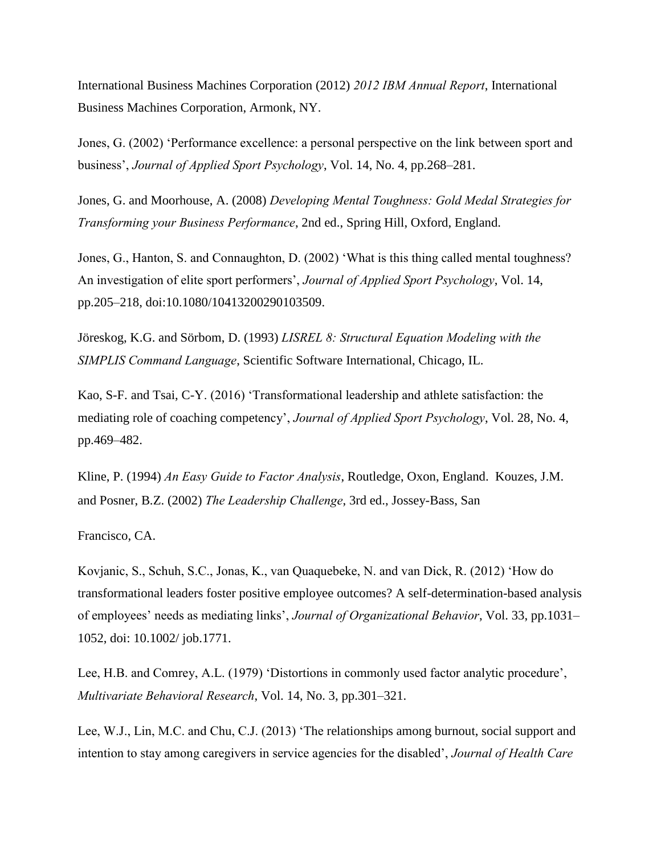International Business Machines Corporation (2012) *2012 IBM Annual Report*, International Business Machines Corporation, Armonk, NY.

Jones, G. (2002) 'Performance excellence: a personal perspective on the link between sport and business', *Journal of Applied Sport Psychology*, Vol. 14, No. 4, pp.268–281.

Jones, G. and Moorhouse, A. (2008) *Developing Mental Toughness: Gold Medal Strategies for Transforming your Business Performance*, 2nd ed., Spring Hill, Oxford, England.

Jones, G., Hanton, S. and Connaughton, D. (2002) 'What is this thing called mental toughness? An investigation of elite sport performers', *Journal of Applied Sport Psychology*, Vol. 14, pp.205–218, doi:10.1080/10413200290103509.

Jöreskog, K.G. and Sörbom, D. (1993) *LISREL 8: Structural Equation Modeling with the SIMPLIS Command Language*, Scientific Software International, Chicago, IL.

Kao, S-F. and Tsai, C-Y. (2016) 'Transformational leadership and athlete satisfaction: the mediating role of coaching competency', *Journal of Applied Sport Psychology*, Vol. 28, No. 4, pp.469–482.

Kline, P. (1994) *An Easy Guide to Factor Analysis*, Routledge, Oxon, England. Kouzes, J.M. and Posner, B.Z. (2002) *The Leadership Challenge*, 3rd ed., Jossey-Bass, San

Francisco, CA.

Kovjanic, S., Schuh, S.C., Jonas, K., van Quaquebeke, N. and van Dick, R. (2012) 'How do transformational leaders foster positive employee outcomes? A self-determination-based analysis of employees' needs as mediating links', *Journal of Organizational Behavior*, Vol. 33, pp.1031– 1052, doi: 10.1002/ job.1771.

Lee, H.B. and Comrey, A.L. (1979) 'Distortions in commonly used factor analytic procedure', *Multivariate Behavioral Research*, Vol. 14, No. 3, pp.301–321.

Lee, W.J., Lin, M.C. and Chu, C.J. (2013) 'The relationships among burnout, social support and intention to stay among caregivers in service agencies for the disabled', *Journal of Health Care*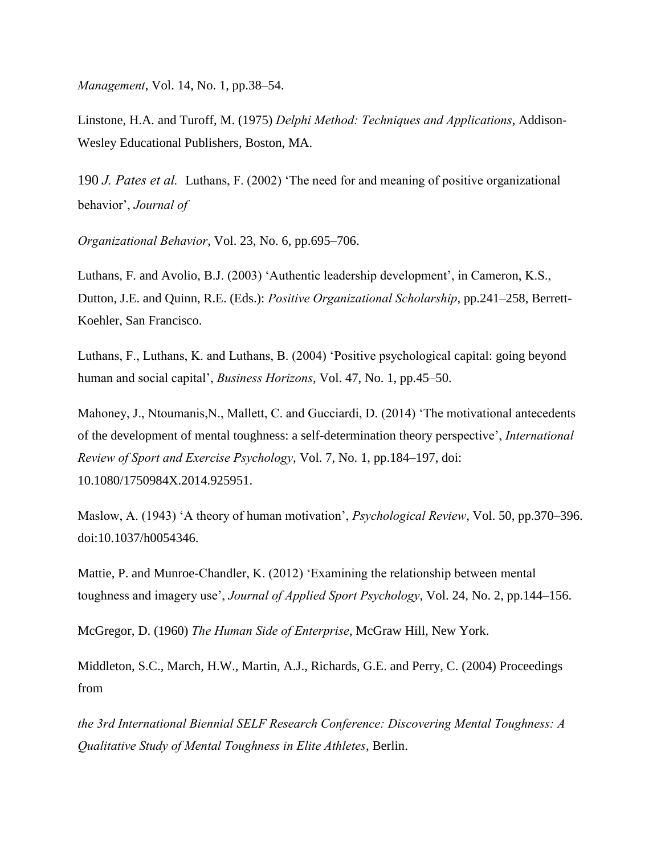*Management*, Vol. 14, No. 1, pp.38–54.

Linstone, H.A. and Turoff, M. (1975) *Delphi Method: Techniques and Applications*, Addison-Wesley Educational Publishers, Boston, MA.

190 *J. Pates et al.* Luthans, F. (2002) 'The need for and meaning of positive organizational behavior', *Journal of* 

*Organizational Behavior*, Vol. 23, No. 6, pp.695–706.

Luthans, F. and Avolio, B.J. (2003) 'Authentic leadership development', in Cameron, K.S., Dutton, J.E. and Quinn, R.E. (Eds.): *Positive Organizational Scholarship*, pp.241–258, Berrett-Koehler, San Francisco.

Luthans, F., Luthans, K. and Luthans, B. (2004) 'Positive psychological capital: going beyond human and social capital', *Business Horizons*, Vol. 47, No. 1, pp.45–50.

Mahoney, J., Ntoumanis, N., Mallett, C. and Gucciardi, D. (2014) 'The motivational antecedents of the development of mental toughness: a self-determination theory perspective', *International Review of Sport and Exercise Psychology*, Vol. 7, No. 1, pp.184–197, doi: 10.1080/1750984X.2014.925951.

Maslow, A. (1943) 'A theory of human motivation', *Psychological Review*, Vol. 50, pp.370–396. doi:10.1037/h0054346.

Mattie, P. and Munroe-Chandler, K. (2012) 'Examining the relationship between mental toughness and imagery use', *Journal of Applied Sport Psychology*, Vol. 24, No. 2, pp.144–156.

McGregor, D. (1960) *The Human Side of Enterprise*, McGraw Hill, New York.

Middleton, S.C., March, H.W., Martin, A.J., Richards, G.E. and Perry, C. (2004) Proceedings from

*the 3rd International Biennial SELF Research Conference: Discovering Mental Toughness: A Qualitative Study of Mental Toughness in Elite Athletes*, Berlin.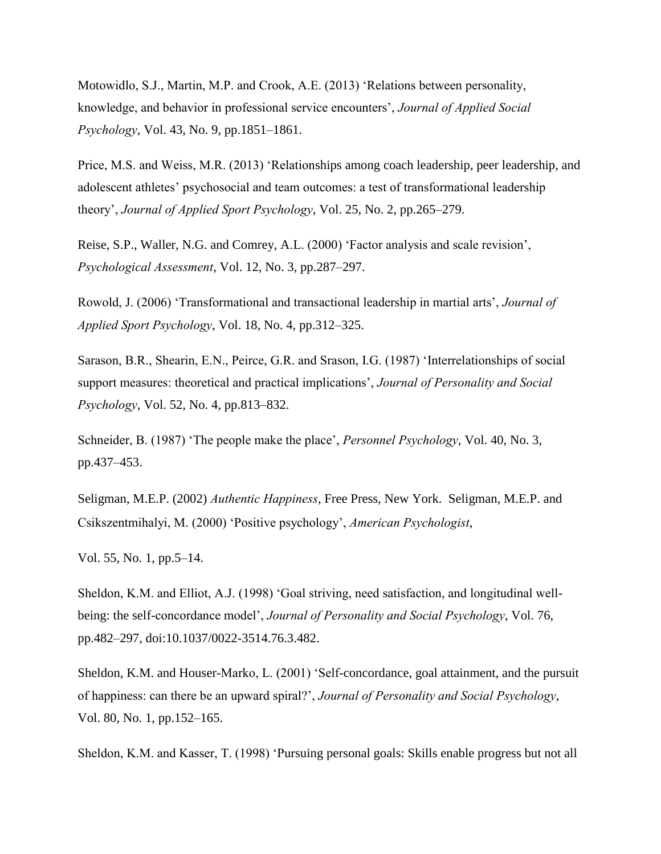Motowidlo, S.J., Martin, M.P. and Crook, A.E. (2013) 'Relations between personality, knowledge, and behavior in professional service encounters', *Journal of Applied Social Psychology*, Vol. 43, No. 9, pp.1851–1861.

Price, M.S. and Weiss, M.R. (2013) 'Relationships among coach leadership, peer leadership, and adolescent athletes' psychosocial and team outcomes: a test of transformational leadership theory', *Journal of Applied Sport Psychology*, Vol. 25, No. 2, pp.265–279.

Reise, S.P., Waller, N.G. and Comrey, A.L. (2000) 'Factor analysis and scale revision', *Psychological Assessment*, Vol. 12, No. 3, pp.287–297.

Rowold, J. (2006) 'Transformational and transactional leadership in martial arts', *Journal of Applied Sport Psychology*, Vol. 18, No. 4, pp.312–325.

Sarason, B.R., Shearin, E.N., Peirce, G.R. and Srason, I.G. (1987) 'Interrelationships of social support measures: theoretical and practical implications', *Journal of Personality and Social Psychology*, Vol. 52, No. 4, pp.813–832.

Schneider, B. (1987) 'The people make the place', *Personnel Psychology*, Vol. 40, No. 3, pp.437–453.

Seligman, M.E.P. (2002) *Authentic Happiness*, Free Press, New York. Seligman, M.E.P. and Csikszentmihalyi, M. (2000) 'Positive psychology', *American Psychologist*,

Vol. 55, No. 1, pp.5–14.

Sheldon, K.M. and Elliot, A.J. (1998) 'Goal striving, need satisfaction, and longitudinal wellbeing: the self-concordance model', *Journal of Personality and Social Psychology*, Vol. 76, pp.482–297, doi:10.1037/0022-3514.76.3.482.

Sheldon, K.M. and Houser-Marko, L. (2001) 'Self-concordance, goal attainment, and the pursuit of happiness: can there be an upward spiral?', *Journal of Personality and Social Psychology*, Vol. 80, No. 1, pp.152–165.

Sheldon, K.M. and Kasser, T. (1998) 'Pursuing personal goals: Skills enable progress but not all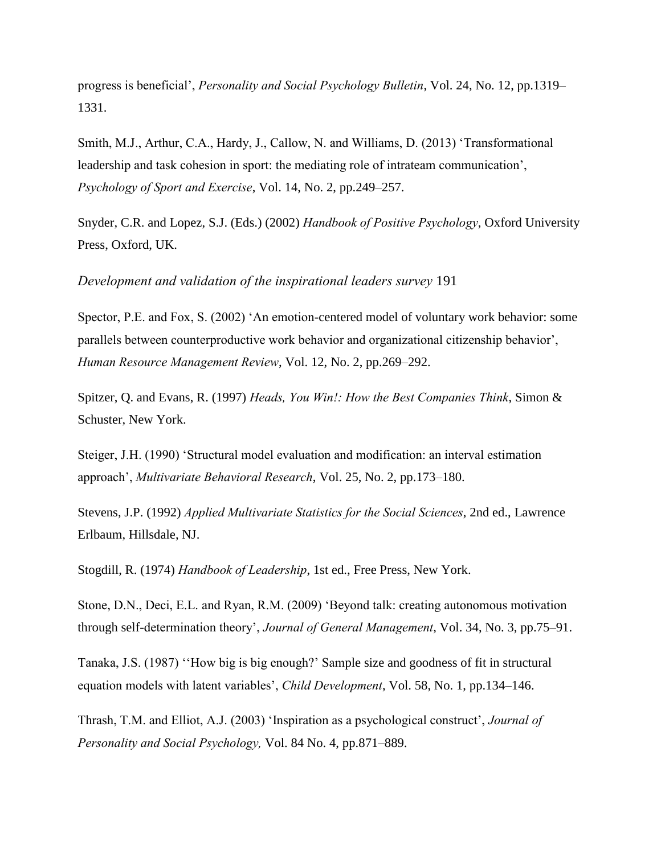progress is beneficial', *Personality and Social Psychology Bulletin*, Vol. 24, No. 12, pp.1319– 1331.

Smith, M.J., Arthur, C.A., Hardy, J., Callow, N. and Williams, D. (2013) 'Transformational leadership and task cohesion in sport: the mediating role of intrateam communication', *Psychology of Sport and Exercise*, Vol. 14, No. 2, pp.249–257.

Snyder, C.R. and Lopez, S.J. (Eds.) (2002) *Handbook of Positive Psychology*, Oxford University Press, Oxford, UK.

*Development and validation of the inspirational leaders survey* 191

Spector, P.E. and Fox, S. (2002) 'An emotion-centered model of voluntary work behavior: some parallels between counterproductive work behavior and organizational citizenship behavior', *Human Resource Management Review*, Vol. 12, No. 2, pp.269–292.

Spitzer, Q. and Evans, R. (1997) *Heads, You Win!: How the Best Companies Think*, Simon & Schuster, New York.

Steiger, J.H. (1990) 'Structural model evaluation and modification: an interval estimation approach', *Multivariate Behavioral Research*, Vol. 25, No. 2, pp.173–180.

Stevens, J.P. (1992) *Applied Multivariate Statistics for the Social Sciences*, 2nd ed., Lawrence Erlbaum, Hillsdale, NJ.

Stogdill, R. (1974) *Handbook of Leadership*, 1st ed., Free Press, New York.

Stone, D.N., Deci, E.L. and Ryan, R.M. (2009) 'Beyond talk: creating autonomous motivation through self-determination theory', *Journal of General Management*, Vol. 34, No. 3, pp.75–91.

Tanaka, J.S. (1987) ''How big is big enough?' Sample size and goodness of fit in structural equation models with latent variables', *Child Development*, Vol. 58, No. 1, pp.134–146.

Thrash, T.M. and Elliot, A.J. (2003) 'Inspiration as a psychological construct', *Journal of Personality and Social Psychology,* Vol. 84 No. 4, pp.871–889.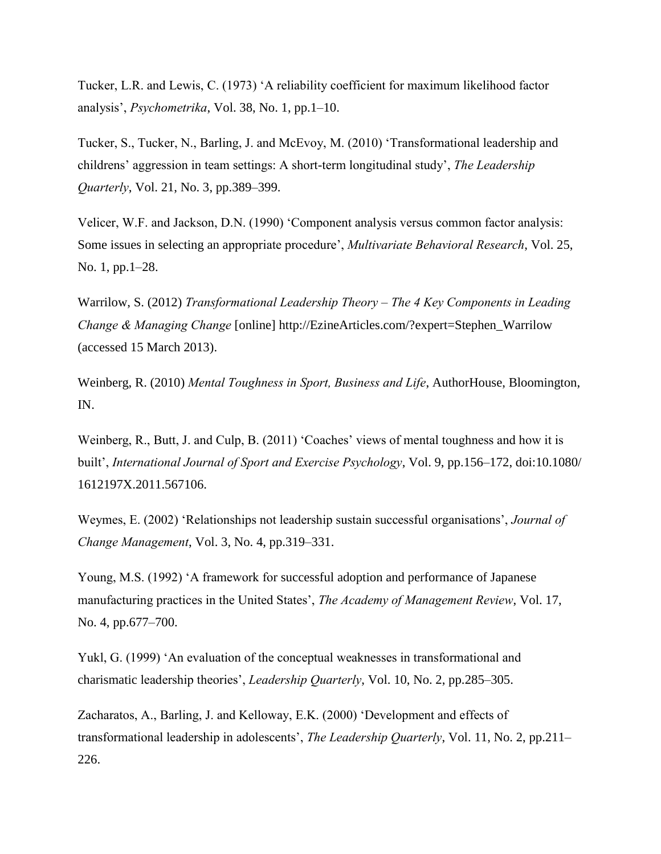Tucker, L.R. and Lewis, C. (1973) 'A reliability coefficient for maximum likelihood factor analysis', *Psychometrika*, Vol. 38, No. 1, pp.1–10.

Tucker, S., Tucker, N., Barling, J. and McEvoy, M. (2010) 'Transformational leadership and childrens' aggression in team settings: A short-term longitudinal study', *The Leadership Quarterly*, Vol. 21, No. 3, pp.389–399.

Velicer, W.F. and Jackson, D.N. (1990) 'Component analysis versus common factor analysis: Some issues in selecting an appropriate procedure', *Multivariate Behavioral Research*, Vol. 25, No. 1, pp.1–28.

Warrilow, S. (2012) *Transformational Leadership Theory – The 4 Key Components in Leading Change & Managing Change* [online] http://EzineArticles.com/?expert=Stephen\_Warrilow (accessed 15 March 2013).

Weinberg, R. (2010) *Mental Toughness in Sport, Business and Life*, AuthorHouse, Bloomington, IN.

Weinberg, R., Butt, J. and Culp, B. (2011) 'Coaches' views of mental toughness and how it is built', *International Journal of Sport and Exercise Psychology*, Vol. 9, pp.156–172, doi:10.1080/ 1612197X.2011.567106.

Weymes, E. (2002) 'Relationships not leadership sustain successful organisations', *Journal of Change Management*, Vol. 3, No. 4, pp.319–331.

Young, M.S. (1992) 'A framework for successful adoption and performance of Japanese manufacturing practices in the United States', *The Academy of Management Review*, Vol. 17, No. 4, pp.677–700.

Yukl, G. (1999) 'An evaluation of the conceptual weaknesses in transformational and charismatic leadership theories', *Leadership Quarterly*, Vol. 10, No. 2, pp.285–305.

Zacharatos, A., Barling, J. and Kelloway, E.K. (2000) 'Development and effects of transformational leadership in adolescents', *The Leadership Quarterly*, Vol. 11, No. 2, pp.211– 226.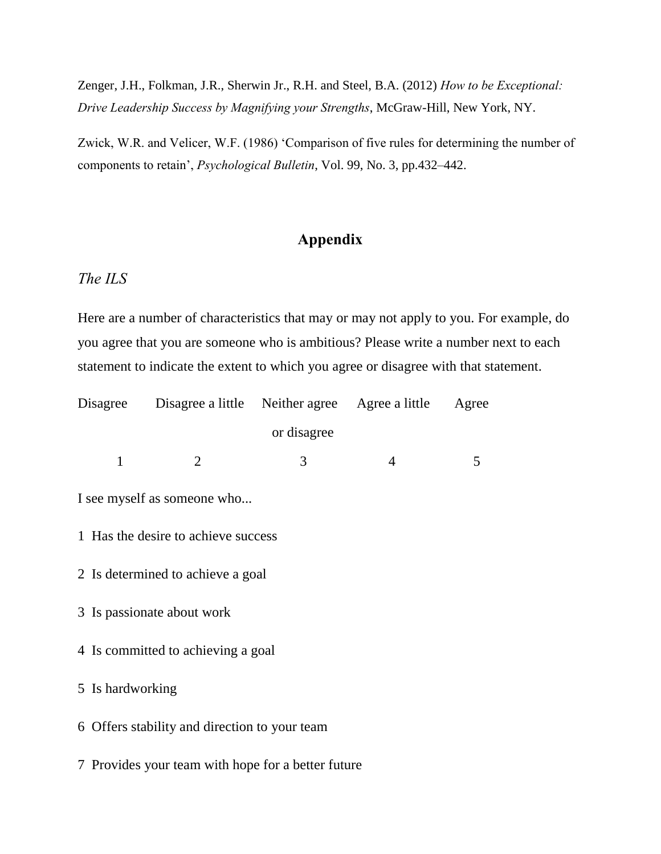Zenger, J.H., Folkman, J.R., Sherwin Jr., R.H. and Steel, B.A. (2012) *How to be Exceptional: Drive Leadership Success by Magnifying your Strengths*, McGraw-Hill, New York, NY.

Zwick, W.R. and Velicer, W.F. (1986) 'Comparison of five rules for determining the number of components to retain', *Psychological Bulletin*, Vol. 99, No. 3, pp.432–442.

## **Appendix**

### *The ILS*

Here are a number of characteristics that may or may not apply to you. For example, do you agree that you are someone who is ambitious? Please write a number next to each statement to indicate the extent to which you agree or disagree with that statement.

|                                                    | Disagree Disagree a little Neither agree Agree a little |             |                | Agree |
|----------------------------------------------------|---------------------------------------------------------|-------------|----------------|-------|
|                                                    |                                                         | or disagree |                |       |
| $\mathbf{1}$                                       | 2                                                       | 3           | $\overline{4}$ | 5     |
| I see myself as someone who                        |                                                         |             |                |       |
| 1 Has the desire to achieve success                |                                                         |             |                |       |
| 2 Is determined to achieve a goal                  |                                                         |             |                |       |
| 3 Is passionate about work                         |                                                         |             |                |       |
| 4 Is committed to achieving a goal                 |                                                         |             |                |       |
| 5 Is hardworking                                   |                                                         |             |                |       |
| 6 Offers stability and direction to your team      |                                                         |             |                |       |
| 7 Provides your team with hope for a better future |                                                         |             |                |       |